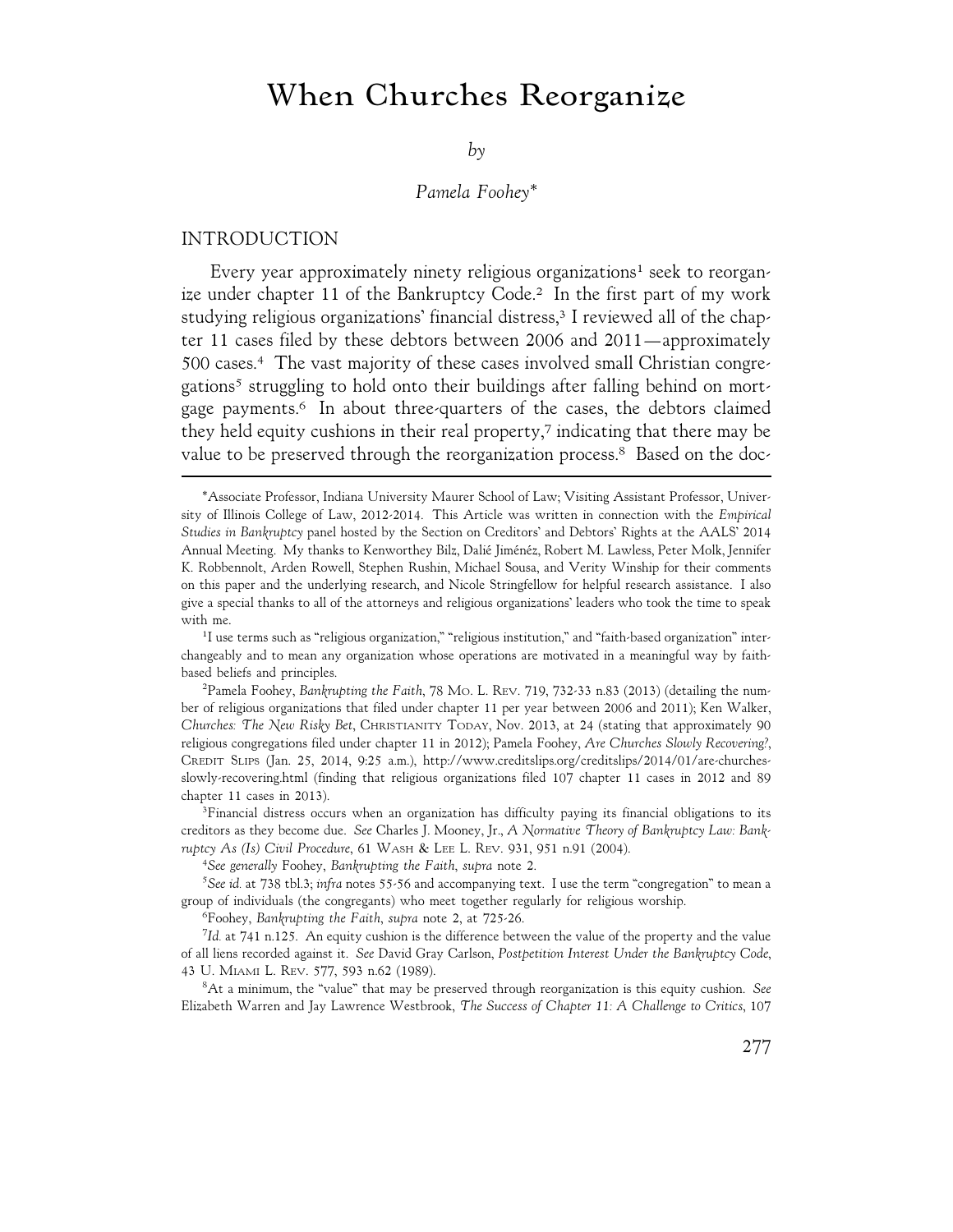# **When Churches Reorganize**

*by*

## *Pamela Foohey\**

#### INTRODUCTION

Every year approximately ninety religious organizations<sup>1</sup> seek to reorganize under chapter 11 of the Bankruptcy Code.<sup>2</sup> In the first part of my work studying religious organizations' financial distress,<sup>3</sup> I reviewed all of the chapter 11 cases filed by these debtors between 2006 and 2011—approximately 500 cases.4 The vast majority of these cases involved small Christian congregations<sup>5</sup> struggling to hold onto their buildings after falling behind on mortgage payments.6 In about three-quarters of the cases, the debtors claimed they held equity cushions in their real property,7 indicating that there may be value to be preserved through the reorganization process.<sup>8</sup> Based on the doc-

<sup>1</sup>I use terms such as "religious organization," "religious institution," and "faith-based organization" interchangeably and to mean any organization whose operations are motivated in a meaningful way by faithbased beliefs and principles.

2 Pamela Foohey, *Bankrupting the Faith*, 78 MO. L. REV. 719, 732-33 n.83 (2013) (detailing the number of religious organizations that filed under chapter 11 per year between 2006 and 2011); Ken Walker, *Churches: The New Risky Bet*, CHRISTIANITY TODAY, Nov. 2013, at 24 (stating that approximately 90 religious congregations filed under chapter 11 in 2012); Pamela Foohey, *Are Churches Slowly Recovering?*, CREDIT SLIPS (Jan. 25, 2014, 9:25 a.m.), http://www.creditslips.org/creditslips/2014/01/are-churchesslowly-recovering.html (finding that religious organizations filed 107 chapter 11 cases in 2012 and 89 chapter 11 cases in 2013).

<sup>3</sup>Financial distress occurs when an organization has difficulty paying its financial obligations to its creditors as they become due. *See* Charles J. Mooney, Jr., *A Normative Theory of Bankruptcy Law: Bankruptcy As (Is) Civil Procedure*, 61 WASH & LEE L. REV. 931, 951 n.91 (2004).

4 *See generally* Foohey, *Bankrupting the Faith*, *supra* note 2.

5 *See id.* at 738 tbl.3; *infra* notes 55-56 and accompanying text. I use the term "congregation" to mean a group of individuals (the congregants) who meet together regularly for religious worship.

6 Foohey, *Bankrupting the Faith*, *supra* note 2, at 725-26.

7 *Id.* at 741 n.125. An equity cushion is the difference between the value of the property and the value of all liens recorded against it. *See* David Gray Carlson, *Postpetition Interest Under the Bankruptcy Code*, 43 U. MIAMI L. REV. 577, 593 n.62 (1989).

8 At a minimum, the "value" that may be preserved through reorganization is this equity cushion. *See* Elizabeth Warren and Jay Lawrence Westbrook, *The Success of Chapter 11: A Challenge to Critics*, 107

<sup>\*</sup>Associate Professor, Indiana University Maurer School of Law; Visiting Assistant Professor, University of Illinois College of Law, 2012-2014. This Article was written in connection with the *Empirical Studies in Bankruptcy* panel hosted by the Section on Creditors' and Debtors' Rights at the AALS' 2014 Annual Meeting. My thanks to Kenworthey Bilz, Dalié Jiménéz, Robert M. Lawless, Peter Molk, Jennifer K. Robbennolt, Arden Rowell, Stephen Rushin, Michael Sousa, and Verity Winship for their comments on this paper and the underlying research, and Nicole Stringfellow for helpful research assistance. I also give a special thanks to all of the attorneys and religious organizations' leaders who took the time to speak with me.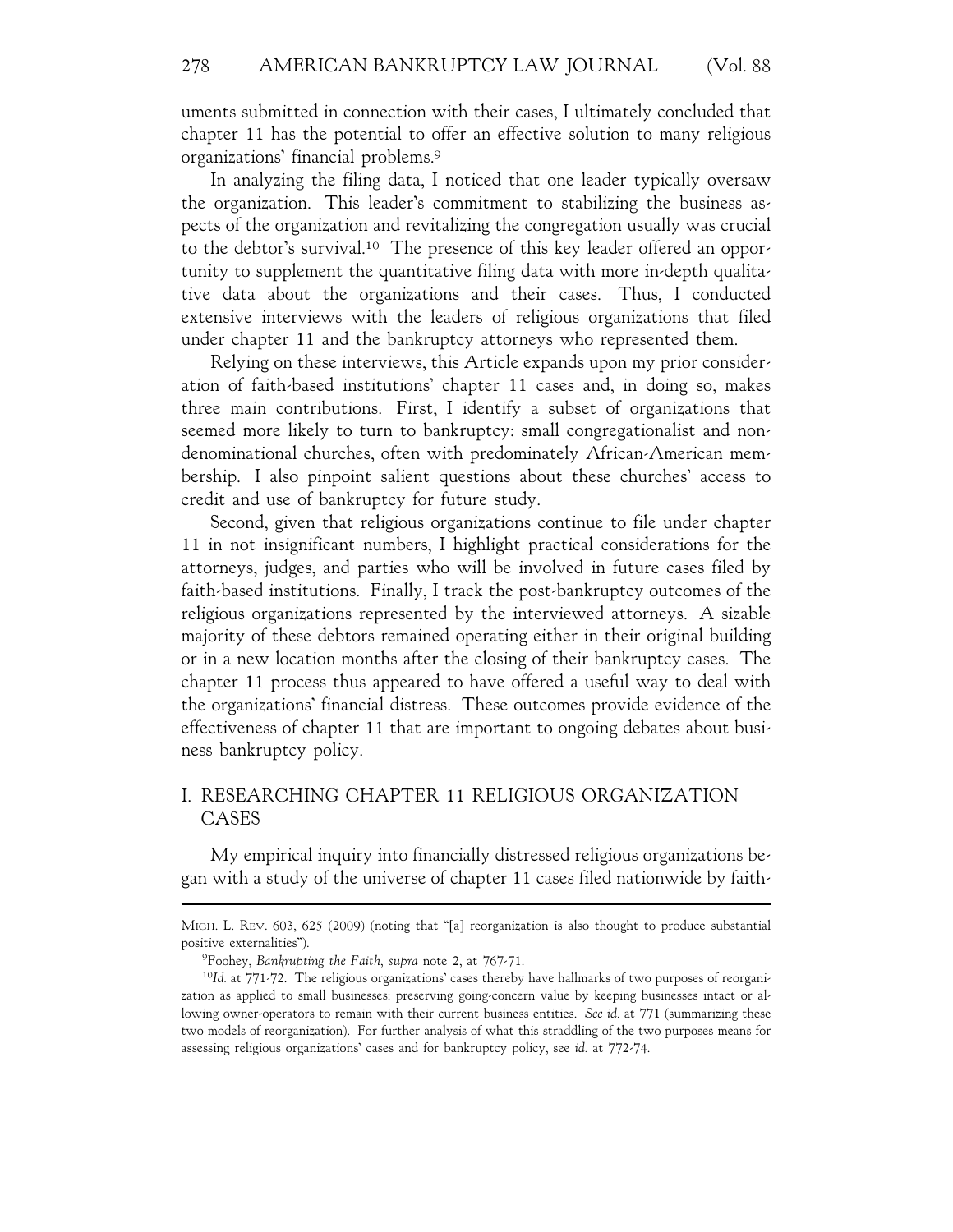uments submitted in connection with their cases, I ultimately concluded that chapter 11 has the potential to offer an effective solution to many religious organizations' financial problems.9

In analyzing the filing data, I noticed that one leader typically oversaw the organization. This leader's commitment to stabilizing the business aspects of the organization and revitalizing the congregation usually was crucial to the debtor's survival.<sup>10</sup> The presence of this key leader offered an opportunity to supplement the quantitative filing data with more in-depth qualitative data about the organizations and their cases. Thus, I conducted extensive interviews with the leaders of religious organizations that filed under chapter 11 and the bankruptcy attorneys who represented them.

Relying on these interviews, this Article expands upon my prior consideration of faith-based institutions' chapter 11 cases and, in doing so, makes three main contributions. First, I identify a subset of organizations that seemed more likely to turn to bankruptcy: small congregationalist and nondenominational churches, often with predominately African-American membership. I also pinpoint salient questions about these churches' access to credit and use of bankruptcy for future study.

Second, given that religious organizations continue to file under chapter 11 in not insignificant numbers, I highlight practical considerations for the attorneys, judges, and parties who will be involved in future cases filed by faith-based institutions. Finally, I track the post-bankruptcy outcomes of the religious organizations represented by the interviewed attorneys. A sizable majority of these debtors remained operating either in their original building or in a new location months after the closing of their bankruptcy cases. The chapter 11 process thus appeared to have offered a useful way to deal with the organizations' financial distress. These outcomes provide evidence of the effectiveness of chapter 11 that are important to ongoing debates about business bankruptcy policy.

# I. RESEARCHING CHAPTER 11 RELIGIOUS ORGANIZATION CASES

My empirical inquiry into financially distressed religious organizations began with a study of the universe of chapter 11 cases filed nationwide by faith-

MICH. L. REV. 603, 625 (2009) (noting that "[a] reorganization is also thought to produce substantial positive externalities").

<sup>9</sup> Foohey, *Bankrupting the Faith*, *supra* note 2, at 767-71.

<sup>10</sup>*Id.* at 771-72. The religious organizations' cases thereby have hallmarks of two purposes of reorganization as applied to small businesses: preserving going-concern value by keeping businesses intact or allowing owner-operators to remain with their current business entities. *See id.* at 771 (summarizing these two models of reorganization). For further analysis of what this straddling of the two purposes means for assessing religious organizations' cases and for bankruptcy policy, see *id.* at 772-74.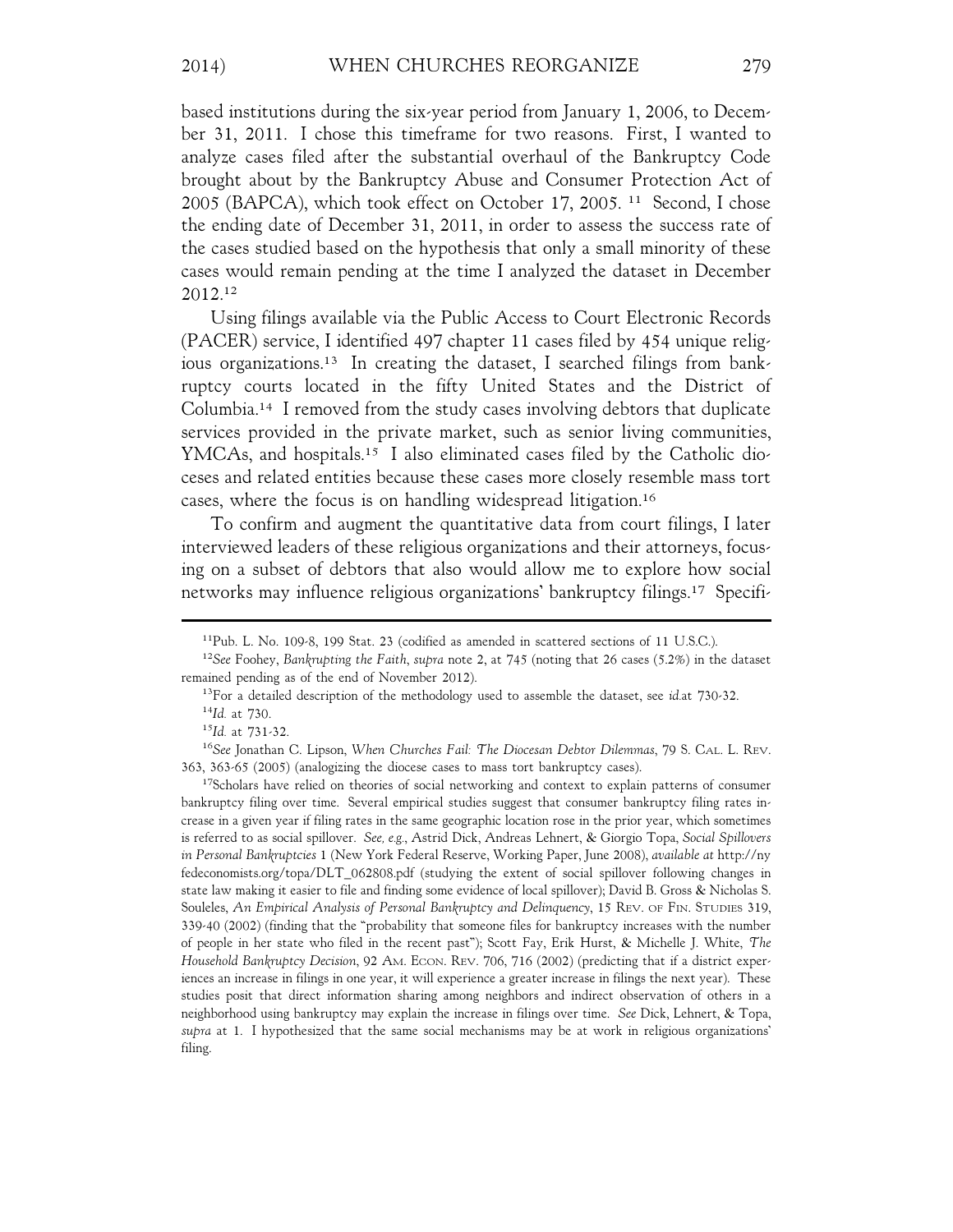based institutions during the six-year period from January 1, 2006, to December 31, 2011. I chose this timeframe for two reasons. First, I wanted to analyze cases filed after the substantial overhaul of the Bankruptcy Code brought about by the Bankruptcy Abuse and Consumer Protection Act of 2005 (BAPCA), which took effect on October 17, 2005. 11 Second, I chose the ending date of December 31, 2011, in order to assess the success rate of the cases studied based on the hypothesis that only a small minority of these cases would remain pending at the time I analyzed the dataset in December 2012.12

Using filings available via the Public Access to Court Electronic Records (PACER) service, I identified 497 chapter 11 cases filed by 454 unique religious organizations.13 In creating the dataset, I searched filings from bankruptcy courts located in the fifty United States and the District of Columbia.14 I removed from the study cases involving debtors that duplicate services provided in the private market, such as senior living communities, YMCAs, and hospitals.<sup>15</sup> I also eliminated cases filed by the Catholic dioceses and related entities because these cases more closely resemble mass tort cases, where the focus is on handling widespread litigation.16

To confirm and augment the quantitative data from court filings, I later interviewed leaders of these religious organizations and their attorneys, focusing on a subset of debtors that also would allow me to explore how social networks may influence religious organizations' bankruptcy filings.17 Specifi-

<sup>17</sup>Scholars have relied on theories of social networking and context to explain patterns of consumer bankruptcy filing over time. Several empirical studies suggest that consumer bankruptcy filing rates increase in a given year if filing rates in the same geographic location rose in the prior year, which sometimes is referred to as social spillover. *See, e.g.*, Astrid Dick, Andreas Lehnert, & Giorgio Topa, *Social Spillovers in Personal Bankruptcies* 1 (New York Federal Reserve, Working Paper, June 2008), *available at* http://ny fedeconomists.org/topa/DLT\_062808.pdf (studying the extent of social spillover following changes in state law making it easier to file and finding some evidence of local spillover); David B. Gross & Nicholas S. Souleles, *An Empirical Analysis of Personal Bankruptcy and Delinquency*, 15 REV. OF FIN. STUDIES 319, 339-40 (2002) (finding that the "probability that someone files for bankruptcy increases with the number of people in her state who filed in the recent past"); Scott Fay, Erik Hurst, & Michelle J. White, *The Household Bankruptcy Decision*, 92 AM. ECON. REV. 706, 716 (2002) (predicting that if a district experiences an increase in filings in one year, it will experience a greater increase in filings the next year). These studies posit that direct information sharing among neighbors and indirect observation of others in a neighborhood using bankruptcy may explain the increase in filings over time. *See* Dick, Lehnert, & Topa, *supra* at 1. I hypothesized that the same social mechanisms may be at work in religious organizations' filing.

<sup>11</sup>Pub. L. No. 109-8, 199 Stat. 23 (codified as amended in scattered sections of 11 U.S.C.).

<sup>12</sup>*See* Foohey, *Bankrupting the Faith*, *supra* note 2, at 745 (noting that 26 cases (5.2%) in the dataset remained pending as of the end of November 2012).

<sup>13</sup>For a detailed description of the methodology used to assemble the dataset, see *id.*at 730-32. <sup>14</sup>*Id.* at 730.

<sup>15</sup>*Id.* at 731-32.

<sup>16</sup>*See* Jonathan C. Lipson, *When Churches Fail: The Diocesan Debtor Dilemmas*, 79 S. CAL. L. REV. 363, 363-65 (2005) (analogizing the diocese cases to mass tort bankruptcy cases).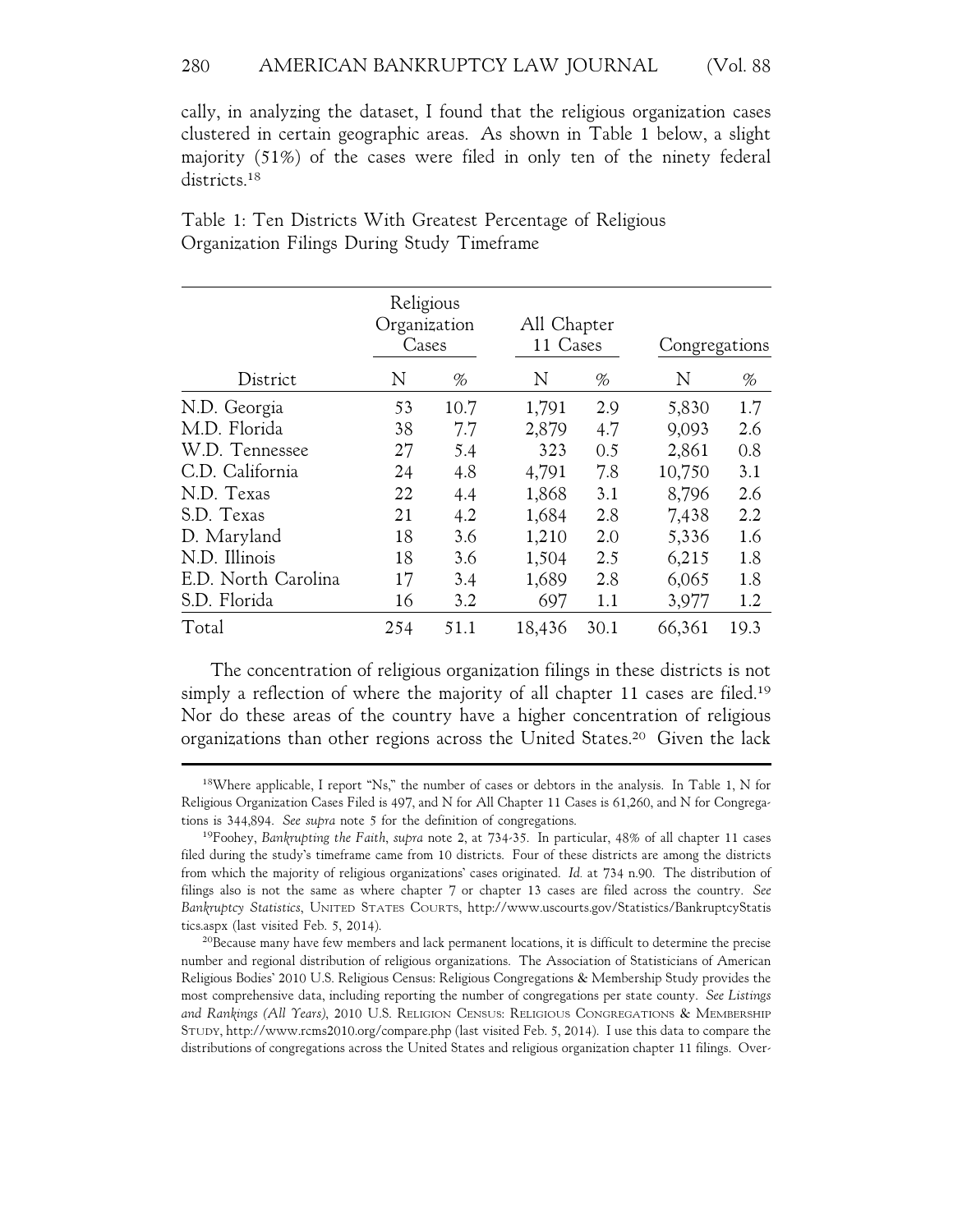cally, in analyzing the dataset, I found that the religious organization cases clustered in certain geographic areas. As shown in Table 1 below, a slight majority (51%) of the cases were filed in only ten of the ninety federal districts.<sup>18</sup>

|                     | Religious<br>Organization<br>Cases |      | All Chapter<br>11 Cases |      | Congregations |      |
|---------------------|------------------------------------|------|-------------------------|------|---------------|------|
| District            | N                                  | %    | N                       | %    | N             | %    |
| N.D. Georgia        | 53                                 | 10.7 | 1,791                   | 2.9  | 5,830         | 1.7  |
| M.D. Florida        | 38                                 | 7.7  | 2,879                   | 4.7  | 9,093         | 2.6  |
| W.D. Tennessee      | 27                                 | 5.4  | 323                     | 0.5  | 2,861         | 0.8  |
| C.D. California     | 24                                 | 4.8  | 4,791                   | 7.8  | 10,750        | 3.1  |
| N.D. Texas          | 22                                 | 4.4  | 1,868                   | 3.1  | 8,796         | 2.6  |
| S.D. Texas          | 21                                 | 4.2  | 1,684                   | 2.8  | 7,438         | 2.2  |
| D. Maryland         | 18                                 | 3.6  | 1,210                   | 2.0  | 5,336         | 1.6  |
| N.D. Illinois       | 18                                 | 3.6  | 1,504                   | 2.5  | 6,215         | 1.8  |
| E.D. North Carolina | 17                                 | 3.4  | 1,689                   | 2.8  | 6,065         | 1.8  |
| S.D. Florida        | 16                                 | 3.2  | 697                     | 1.1  | 3,977         | 1.2  |
| Total               | 254                                | 51.1 | 18,436                  | 30.1 | 66,361        | 19.3 |

Table 1: Ten Districts With Greatest Percentage of Religious Organization Filings During Study Timeframe

The concentration of religious organization filings in these districts is not simply a reflection of where the majority of all chapter 11 cases are filed.<sup>19</sup> Nor do these areas of the country have a higher concentration of religious organizations than other regions across the United States.20 Given the lack

<sup>18</sup>Where applicable, I report "Ns," the number of cases or debtors in the analysis. In Table 1, N for Religious Organization Cases Filed is 497, and N for All Chapter 11 Cases is 61,260, and N for Congregations is 344,894. *See supra* note 5 for the definition of congregations.

<sup>19</sup>Foohey, *Bankrupting the Faith*, *supra* note 2, at 734-35. In particular, 48% of all chapter 11 cases filed during the study's timeframe came from 10 districts. Four of these districts are among the districts from which the majority of religious organizations' cases originated. *Id.* at 734 n.90. The distribution of filings also is not the same as where chapter 7 or chapter 13 cases are filed across the country. *See Bankruptcy Statistics*, UNITED STATES COURTS, http://www.uscourts.gov/Statistics/BankruptcyStatis tics.aspx (last visited Feb. 5, 2014).

<sup>20</sup>Because many have few members and lack permanent locations, it is difficult to determine the precise number and regional distribution of religious organizations. The Association of Statisticians of American Religious Bodies' 2010 U.S. Religious Census: Religious Congregations & Membership Study provides the most comprehensive data, including reporting the number of congregations per state county. *See Listings and Rankings (All Years)*, 2010 U.S. RELIGION CENSUS: RELIGIOUS CONGREGATIONS & MEMBERSHIP STUDY, http://www.rcms2010.org/compare.php (last visited Feb. 5, 2014). I use this data to compare the distributions of congregations across the United States and religious organization chapter 11 filings. Over-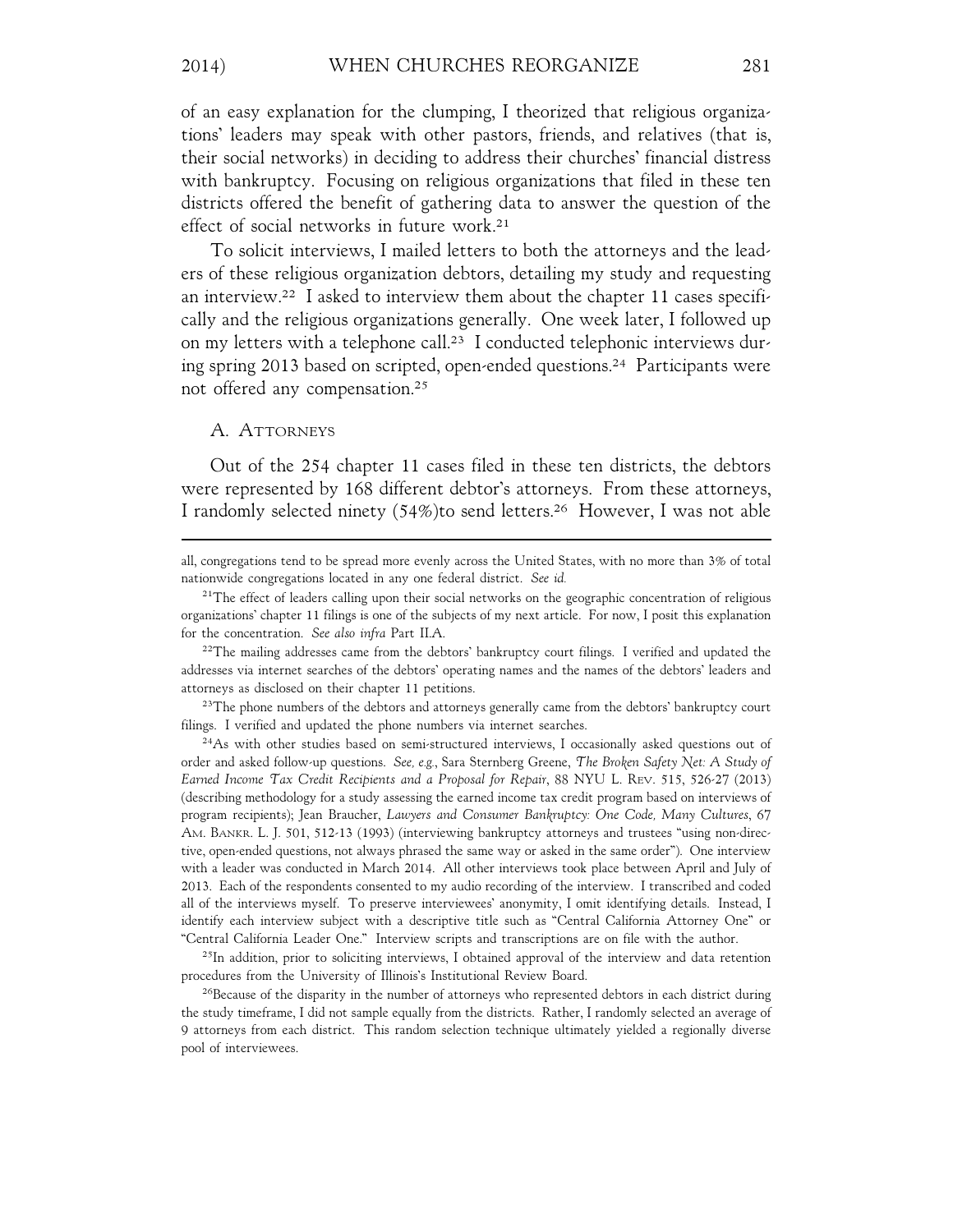of an easy explanation for the clumping, I theorized that religious organizations' leaders may speak with other pastors, friends, and relatives (that is, their social networks) in deciding to address their churches' financial distress with bankruptcy. Focusing on religious organizations that filed in these ten districts offered the benefit of gathering data to answer the question of the effect of social networks in future work.21

To solicit interviews, I mailed letters to both the attorneys and the leaders of these religious organization debtors, detailing my study and requesting an interview.22 I asked to interview them about the chapter 11 cases specifically and the religious organizations generally. One week later, I followed up on my letters with a telephone call.<sup>23</sup> I conducted telephonic interviews during spring 2013 based on scripted, open-ended questions.24 Participants were not offered any compensation.25

#### A. ATTORNEYS

Out of the 254 chapter 11 cases filed in these ten districts, the debtors were represented by 168 different debtor's attorneys. From these attorneys, I randomly selected ninety (54%)to send letters.26 However, I was not able

 $2<sup>22</sup>$ The mailing addresses came from the debtors' bankruptcy court filings. I verified and updated the addresses via internet searches of the debtors' operating names and the names of the debtors' leaders and attorneys as disclosed on their chapter 11 petitions.

<sup>23</sup>The phone numbers of the debtors and attorneys generally came from the debtors' bankruptcy court filings. I verified and updated the phone numbers via internet searches.

<sup>24</sup>As with other studies based on semi-structured interviews, I occasionally asked questions out of order and asked follow-up questions. *See, e.g.*, Sara Sternberg Greene, *The Broken Safety Net: A Study of Earned Income Tax Credit Recipients and a Proposal for Repair*, 88 NYU L. REV. 515, 526-27 (2013) (describing methodology for a study assessing the earned income tax credit program based on interviews of program recipients); Jean Braucher, *Lawyers and Consumer Bankruptcy: One Code, Many Cultures*, 67 AM. BANKR. L. J. 501, 512-13 (1993) (interviewing bankruptcy attorneys and trustees "using non-directive, open-ended questions, not always phrased the same way or asked in the same order"). One interview with a leader was conducted in March 2014. All other interviews took place between April and July of 2013. Each of the respondents consented to my audio recording of the interview. I transcribed and coded all of the interviews myself. To preserve interviewees' anonymity, I omit identifying details. Instead, I identify each interview subject with a descriptive title such as "Central California Attorney One" or "Central California Leader One." Interview scripts and transcriptions are on file with the author.

<sup>25</sup>In addition, prior to soliciting interviews, I obtained approval of the interview and data retention procedures from the University of Illinois's Institutional Review Board.

<sup>26</sup>Because of the disparity in the number of attorneys who represented debtors in each district during the study timeframe, I did not sample equally from the districts. Rather, I randomly selected an average of 9 attorneys from each district. This random selection technique ultimately yielded a regionally diverse pool of interviewees.

all, congregations tend to be spread more evenly across the United States, with no more than 3% of total nationwide congregations located in any one federal district. *See id.*

<sup>&</sup>lt;sup>21</sup>The effect of leaders calling upon their social networks on the geographic concentration of religious organizations' chapter 11 filings is one of the subjects of my next article. For now, I posit this explanation for the concentration. *See also infra* Part II.A.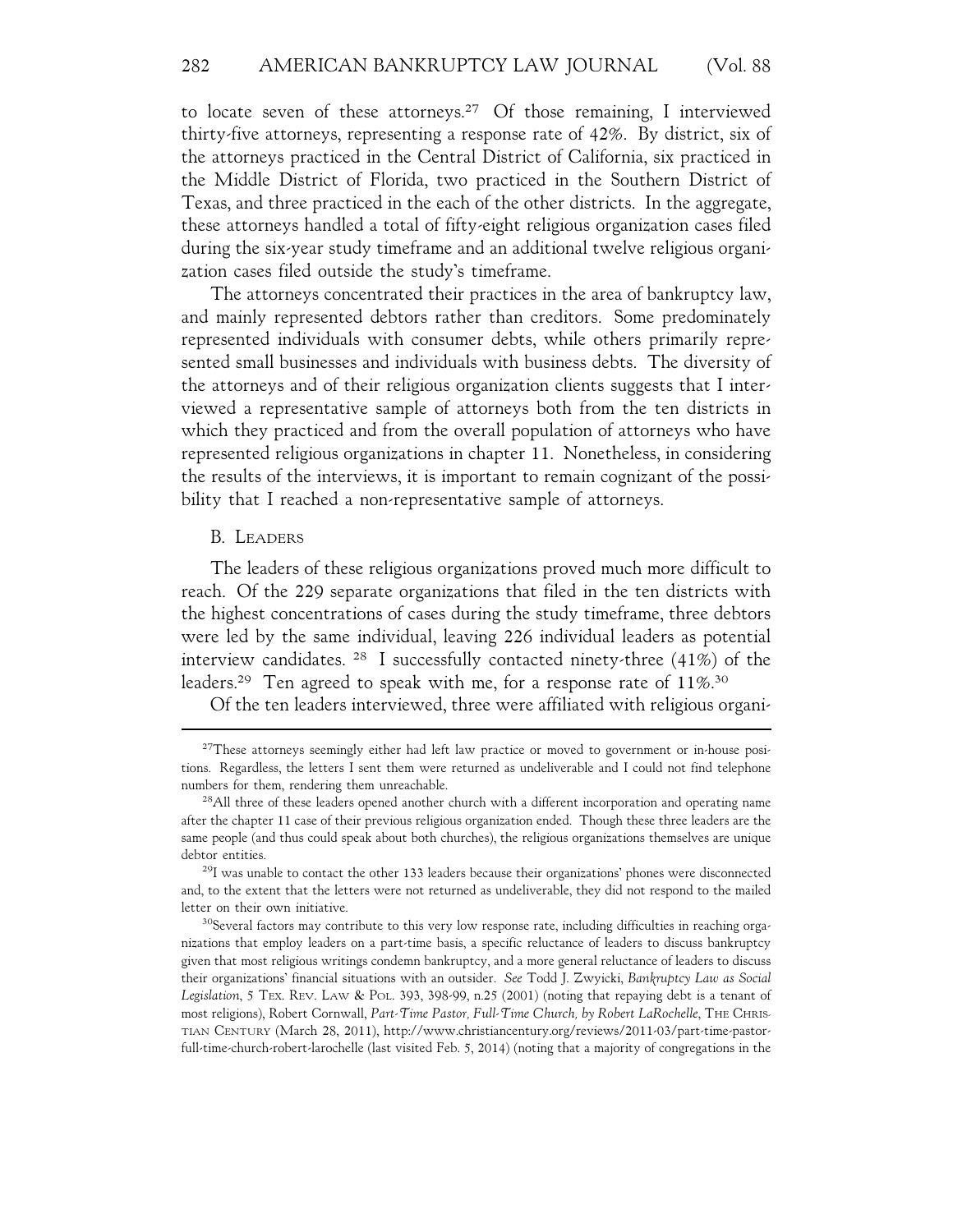to locate seven of these attorneys.27 Of those remaining, I interviewed thirty-five attorneys, representing a response rate of 42%. By district, six of the attorneys practiced in the Central District of California, six practiced in the Middle District of Florida, two practiced in the Southern District of Texas, and three practiced in the each of the other districts. In the aggregate, these attorneys handled a total of fifty-eight religious organization cases filed during the six-year study timeframe and an additional twelve religious organization cases filed outside the study's timeframe.

The attorneys concentrated their practices in the area of bankruptcy law, and mainly represented debtors rather than creditors. Some predominately represented individuals with consumer debts, while others primarily represented small businesses and individuals with business debts. The diversity of the attorneys and of their religious organization clients suggests that I interviewed a representative sample of attorneys both from the ten districts in which they practiced and from the overall population of attorneys who have represented religious organizations in chapter 11. Nonetheless, in considering the results of the interviews, it is important to remain cognizant of the possibility that I reached a non-representative sample of attorneys.

#### B. LEADERS

The leaders of these religious organizations proved much more difficult to reach. Of the 229 separate organizations that filed in the ten districts with the highest concentrations of cases during the study timeframe, three debtors were led by the same individual, leaving 226 individual leaders as potential interview candidates. 28 I successfully contacted ninety-three (41%) of the leaders.<sup>29</sup> Ten agreed to speak with me, for a response rate of 11%.<sup>30</sup>

Of the ten leaders interviewed, three were affiliated with religious organi-

<sup>&</sup>lt;sup>27</sup>These attorneys seemingly either had left law practice or moved to government or in-house positions. Regardless, the letters I sent them were returned as undeliverable and I could not find telephone numbers for them, rendering them unreachable.

<sup>&</sup>lt;sup>28</sup>All three of these leaders opened another church with a different incorporation and operating name after the chapter 11 case of their previous religious organization ended. Though these three leaders are the same people (and thus could speak about both churches), the religious organizations themselves are unique debtor entities.

<sup>&</sup>lt;sup>29</sup>I was unable to contact the other 133 leaders because their organizations' phones were disconnected and, to the extent that the letters were not returned as undeliverable, they did not respond to the mailed letter on their own initiative.

<sup>&</sup>lt;sup>30</sup>Several factors may contribute to this very low response rate, including difficulties in reaching organizations that employ leaders on a part-time basis, a specific reluctance of leaders to discuss bankruptcy given that most religious writings condemn bankruptcy, and a more general reluctance of leaders to discuss their organizations' financial situations with an outsider. *See* Todd J. Zwyicki, *Bankruptcy Law as Social Legislation*, 5 TEX. REV. LAW & POL. 393, 398-99, n.25 (2001) (noting that repaying debt is a tenant of most religions), Robert Cornwall, *Part-Time Pastor, Full-Time Church, by Robert LaRochelle*, THE CHRIS-TIAN CENTURY (March 28, 2011), http://www.christiancentury.org/reviews/2011-03/part-time-pastorfull-time-church-robert-larochelle (last visited Feb. 5, 2014) (noting that a majority of congregations in the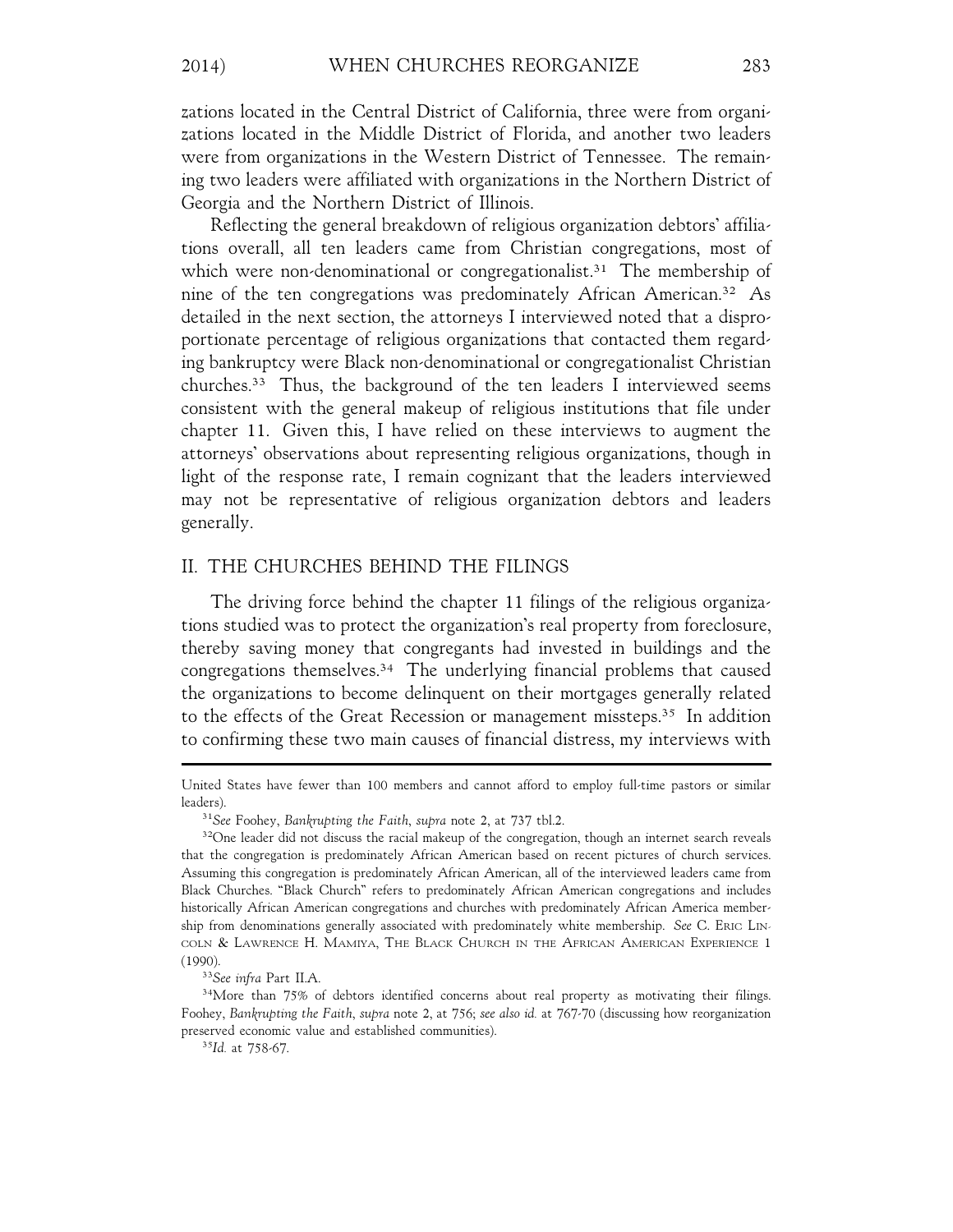zations located in the Central District of California, three were from organizations located in the Middle District of Florida, and another two leaders were from organizations in the Western District of Tennessee. The remaining two leaders were affiliated with organizations in the Northern District of Georgia and the Northern District of Illinois.

Reflecting the general breakdown of religious organization debtors' affiliations overall, all ten leaders came from Christian congregations, most of which were non-denominational or congregationalist.<sup>31</sup> The membership of nine of the ten congregations was predominately African American.32 As detailed in the next section, the attorneys I interviewed noted that a disproportionate percentage of religious organizations that contacted them regarding bankruptcy were Black non-denominational or congregationalist Christian churches.33 Thus, the background of the ten leaders I interviewed seems consistent with the general makeup of religious institutions that file under chapter 11. Given this, I have relied on these interviews to augment the attorneys' observations about representing religious organizations, though in light of the response rate, I remain cognizant that the leaders interviewed may not be representative of religious organization debtors and leaders generally.

## II. THE CHURCHES BEHIND THE FILINGS

The driving force behind the chapter 11 filings of the religious organizations studied was to protect the organization's real property from foreclosure, thereby saving money that congregants had invested in buildings and the congregations themselves.34 The underlying financial problems that caused the organizations to become delinquent on their mortgages generally related to the effects of the Great Recession or management missteps.<sup>35</sup> In addition to confirming these two main causes of financial distress, my interviews with

United States have fewer than 100 members and cannot afford to employ full-time pastors or similar leaders).

<sup>31</sup>*See* Foohey, *Bankrupting the Faith*, *supra* note 2, at 737 tbl.2.

<sup>&</sup>lt;sup>32</sup>One leader did not discuss the racial makeup of the congregation, though an internet search reveals that the congregation is predominately African American based on recent pictures of church services. Assuming this congregation is predominately African American, all of the interviewed leaders came from Black Churches. "Black Church" refers to predominately African American congregations and includes historically African American congregations and churches with predominately African America membership from denominations generally associated with predominately white membership. *See* C. ERIC LIN-COLN & LAWRENCE H. MAMIYA, THE BLACK CHURCH IN THE AFRICAN AMERICAN EXPERIENCE 1 (1990).

<sup>33</sup>*See infra* Part II.A.

<sup>34</sup>More than 75% of debtors identified concerns about real property as motivating their filings. Foohey, *Bankrupting the Faith*, *supra* note 2, at 756; *see also id.* at 767-70 (discussing how reorganization preserved economic value and established communities).

<sup>35</sup>*Id.* at 758-67.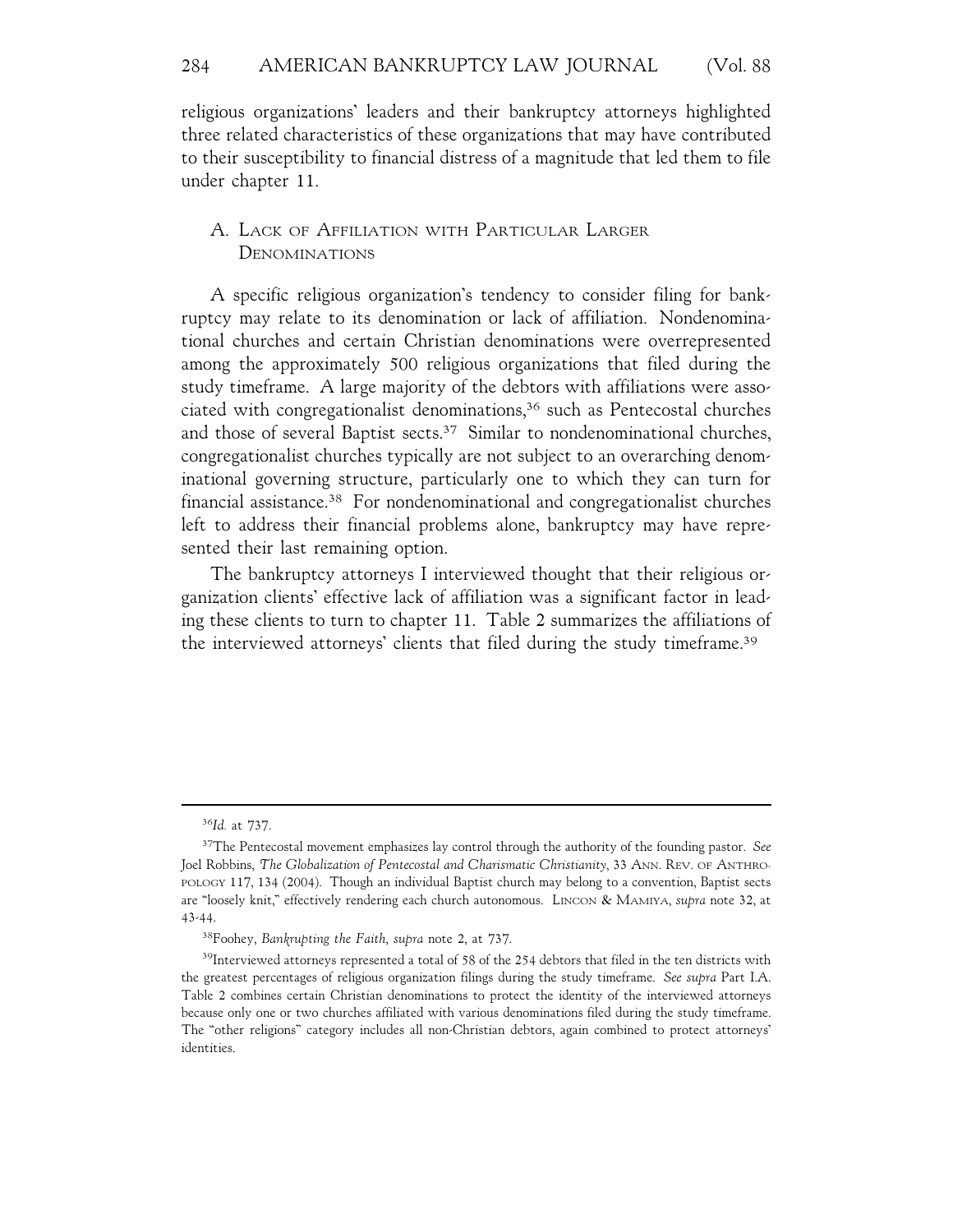religious organizations' leaders and their bankruptcy attorneys highlighted three related characteristics of these organizations that may have contributed to their susceptibility to financial distress of a magnitude that led them to file under chapter 11.

# A. LACK OF AFFILIATION WITH PARTICULAR LARGER DENOMINATIONS

A specific religious organization's tendency to consider filing for bankruptcy may relate to its denomination or lack of affiliation. Nondenominational churches and certain Christian denominations were overrepresented among the approximately 500 religious organizations that filed during the study timeframe. A large majority of the debtors with affiliations were associated with congregationalist denominations,<sup>36</sup> such as Pentecostal churches and those of several Baptist sects.<sup>37</sup> Similar to nondenominational churches, congregationalist churches typically are not subject to an overarching denominational governing structure, particularly one to which they can turn for financial assistance.38 For nondenominational and congregationalist churches left to address their financial problems alone, bankruptcy may have represented their last remaining option.

The bankruptcy attorneys I interviewed thought that their religious organization clients' effective lack of affiliation was a significant factor in leading these clients to turn to chapter 11. Table 2 summarizes the affiliations of the interviewed attorneys' clients that filed during the study timeframe.39

<sup>36</sup>*Id.* at 737.

<sup>37</sup>The Pentecostal movement emphasizes lay control through the authority of the founding pastor. *See* Joel Robbins, *The Globalization of Pentecostal and Charismatic Christianity*, 33 ANN. REV. OF ANTHRO-POLOGY 117, 134 (2004). Though an individual Baptist church may belong to a convention, Baptist sects are "loosely knit," effectively rendering each church autonomous. LINCON & MAMIYA, *supra* note 32, at 43-44.

<sup>38</sup>Foohey, *Bankrupting the Faith*, *supra* note 2, at 737.

<sup>&</sup>lt;sup>39</sup>Interviewed attorneys represented a total of 58 of the 254 debtors that filed in the ten districts with the greatest percentages of religious organization filings during the study timeframe. *See supra* Part I.A. Table 2 combines certain Christian denominations to protect the identity of the interviewed attorneys because only one or two churches affiliated with various denominations filed during the study timeframe. The "other religions" category includes all non-Christian debtors, again combined to protect attorneys' identities.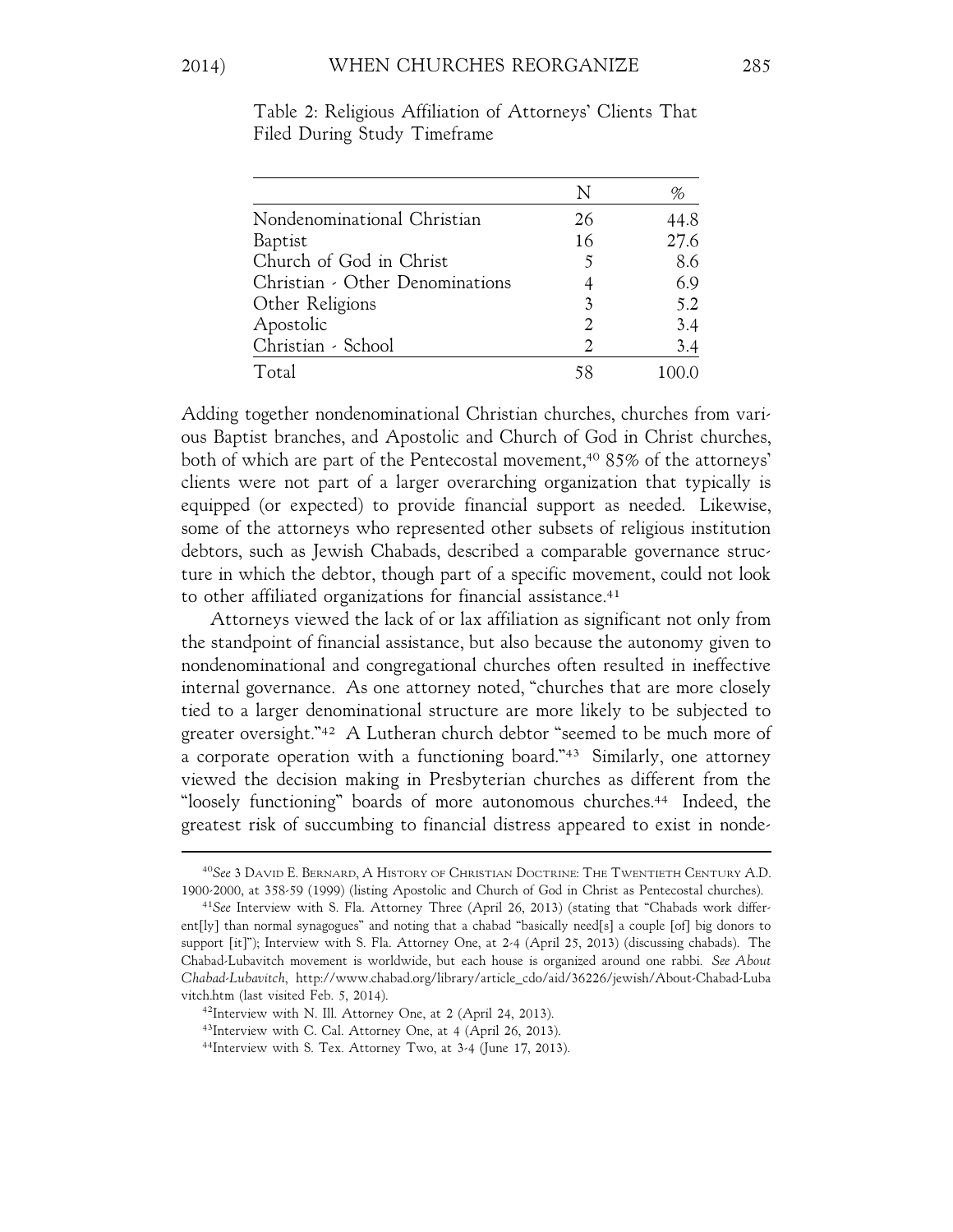|                                 | N              | %    |
|---------------------------------|----------------|------|
| Nondenominational Christian     | 26             | 44.8 |
| Baptist                         | 16             | 27.6 |
| Church of God in Christ         | 5              | 8.6  |
| Christian - Other Denominations |                | 6.9  |
| Other Religions                 | 3              | 5.2  |
| Apostolic                       | 2              | 3.4  |
| Christian - School              | $\mathfrak{D}$ | 3.4  |
| Total                           | 58             |      |

Table 2: Religious Affiliation of Attorneys' Clients That Filed During Study Timeframe

Adding together nondenominational Christian churches, churches from various Baptist branches, and Apostolic and Church of God in Christ churches, both of which are part of the Pentecostal movement,<sup>40</sup> 85% of the attorneys' clients were not part of a larger overarching organization that typically is equipped (or expected) to provide financial support as needed. Likewise, some of the attorneys who represented other subsets of religious institution debtors, such as Jewish Chabads, described a comparable governance structure in which the debtor, though part of a specific movement, could not look to other affiliated organizations for financial assistance.<sup>41</sup>

Attorneys viewed the lack of or lax affiliation as significant not only from the standpoint of financial assistance, but also because the autonomy given to nondenominational and congregational churches often resulted in ineffective internal governance. As one attorney noted, "churches that are more closely tied to a larger denominational structure are more likely to be subjected to greater oversight."42 A Lutheran church debtor "seemed to be much more of a corporate operation with a functioning board."43 Similarly, one attorney viewed the decision making in Presbyterian churches as different from the "loosely functioning" boards of more autonomous churches.44 Indeed, the greatest risk of succumbing to financial distress appeared to exist in nonde-

<sup>40</sup>*See* 3 DAVID E. BERNARD, A HISTORY OF CHRISTIAN DOCTRINE: THE TWENTIETH CENTURY A.D. 1900-2000, at 358-59 (1999) (listing Apostolic and Church of God in Christ as Pentecostal churches).

<sup>41</sup>*See* Interview with S. Fla. Attorney Three (April 26, 2013) (stating that "Chabads work different[ly] than normal synagogues" and noting that a chabad "basically need[s] a couple [of] big donors to support [it]"); Interview with S. Fla. Attorney One, at 2-4 (April 25, 2013) (discussing chabads). The Chabad-Lubavitch movement is worldwide, but each house is organized around one rabbi. *See About Chabad-Lubavitch*, http://www.chabad.org/library/article\_cdo/aid/36226/jewish/About-Chabad-Luba vitch.htm (last visited Feb. 5, 2014).

<sup>42</sup>Interview with N. Ill. Attorney One, at 2 (April 24, 2013).

<sup>43</sup>Interview with C. Cal. Attorney One, at 4 (April 26, 2013).

<sup>44</sup>Interview with S. Tex. Attorney Two, at 3-4 (June 17, 2013).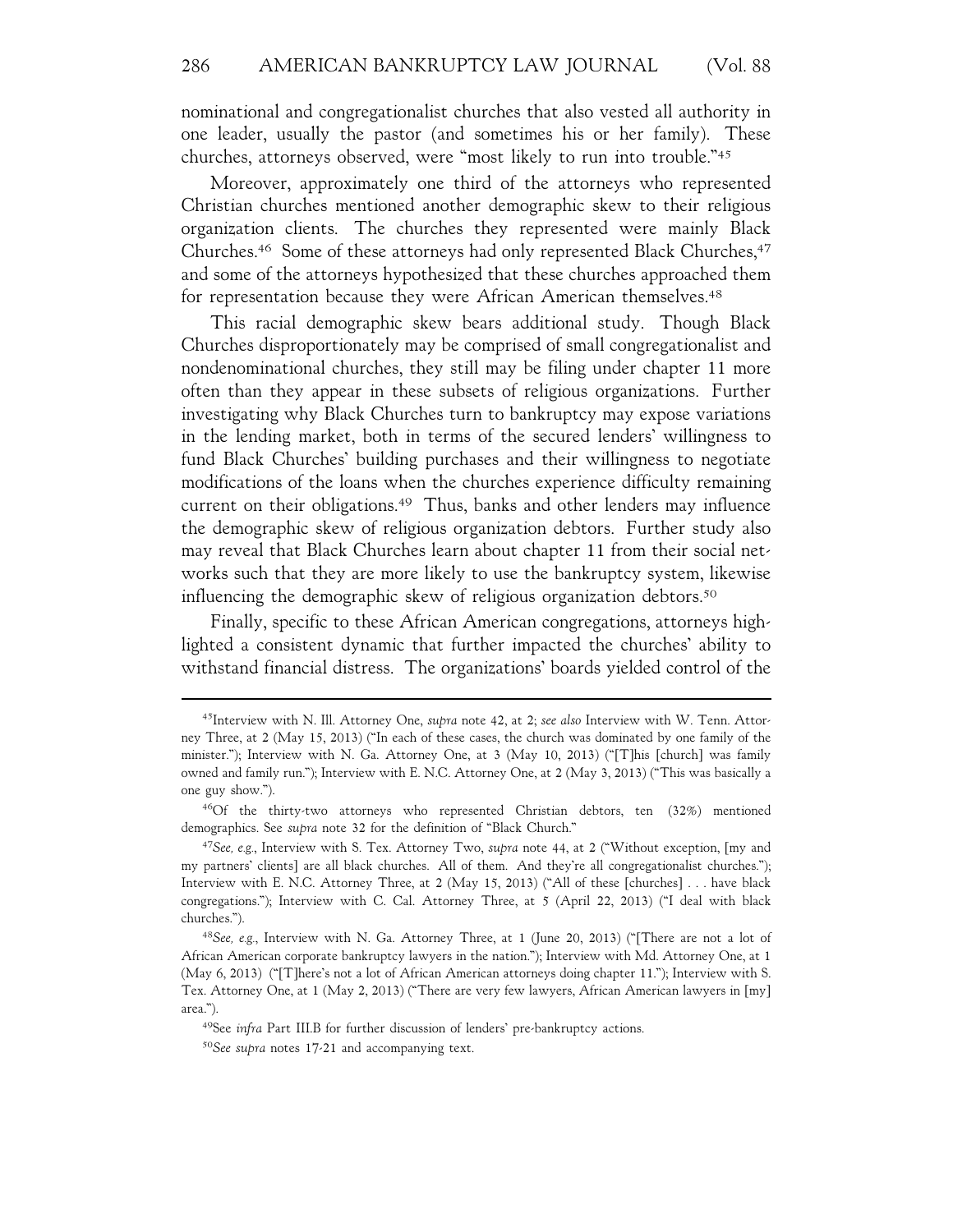nominational and congregationalist churches that also vested all authority in one leader, usually the pastor (and sometimes his or her family). These churches, attorneys observed, were "most likely to run into trouble."45

Moreover, approximately one third of the attorneys who represented Christian churches mentioned another demographic skew to their religious organization clients. The churches they represented were mainly Black Churches.<sup>46</sup> Some of these attorneys had only represented Black Churches,<sup>47</sup> and some of the attorneys hypothesized that these churches approached them for representation because they were African American themselves.48

This racial demographic skew bears additional study. Though Black Churches disproportionately may be comprised of small congregationalist and nondenominational churches, they still may be filing under chapter 11 more often than they appear in these subsets of religious organizations. Further investigating why Black Churches turn to bankruptcy may expose variations in the lending market, both in terms of the secured lenders' willingness to fund Black Churches' building purchases and their willingness to negotiate modifications of the loans when the churches experience difficulty remaining current on their obligations.49 Thus, banks and other lenders may influence the demographic skew of religious organization debtors. Further study also may reveal that Black Churches learn about chapter 11 from their social networks such that they are more likely to use the bankruptcy system, likewise influencing the demographic skew of religious organization debtors.<sup>50</sup>

Finally, specific to these African American congregations, attorneys highlighted a consistent dynamic that further impacted the churches' ability to withstand financial distress. The organizations' boards yielded control of the

<sup>45</sup>Interview with N. Ill. Attorney One, *supra* note 42, at 2; *see also* Interview with W. Tenn. Attorney Three, at 2 (May 15, 2013) ("In each of these cases, the church was dominated by one family of the minister."); Interview with N. Ga. Attorney One, at 3 (May 10, 2013) ("[T]his [church] was family owned and family run."); Interview with E. N.C. Attorney One, at 2 (May 3, 2013) ("This was basically a one guy show.").

<sup>46</sup>Of the thirty-two attorneys who represented Christian debtors, ten (32%) mentioned demographics. See *supra* note 32 for the definition of "Black Church."

<sup>47</sup>*See, e.g.*, Interview with S. Tex. Attorney Two, *supra* note 44, at 2 ("Without exception, [my and my partners' clients] are all black churches. All of them. And they're all congregationalist churches."); Interview with E. N.C. Attorney Three, at 2 (May 15, 2013) ("All of these [churches] . . . have black congregations."); Interview with C. Cal. Attorney Three, at 5 (April 22, 2013) ("I deal with black churches.").

<sup>48</sup>*See, e.g.*, Interview with N. Ga. Attorney Three, at 1 (June 20, 2013) ("[There are not a lot of African American corporate bankruptcy lawyers in the nation."); Interview with Md. Attorney One, at 1 (May 6, 2013) ("[T]here's not a lot of African American attorneys doing chapter 11."); Interview with S. Tex. Attorney One, at 1 (May 2, 2013) ("There are very few lawyers, African American lawyers in [my] area.").

<sup>49</sup>See *infra* Part III.B for further discussion of lenders' pre-bankruptcy actions.

<sup>50</sup>*See supra* notes 17-21 and accompanying text.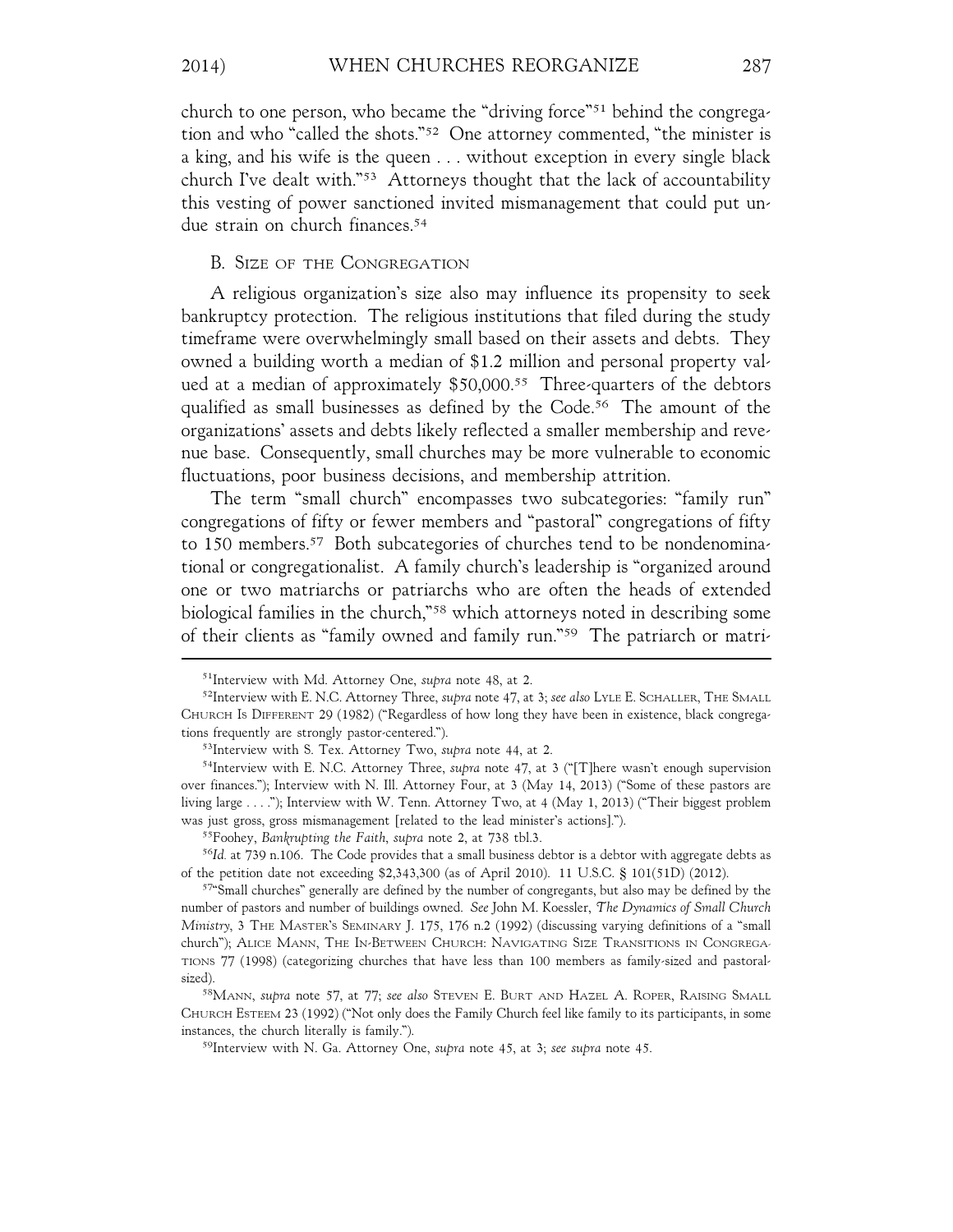2014) WHEN CHURCHES REORGANIZE 287

church to one person, who became the "driving force"51 behind the congregation and who "called the shots."52 One attorney commented, "the minister is a king, and his wife is the queen . . . without exception in every single black church I've dealt with."53 Attorneys thought that the lack of accountability this vesting of power sanctioned invited mismanagement that could put undue strain on church finances.54

#### B. SIZE OF THE CONGREGATION

A religious organization's size also may influence its propensity to seek bankruptcy protection. The religious institutions that filed during the study timeframe were overwhelmingly small based on their assets and debts. They owned a building worth a median of \$1.2 million and personal property valued at a median of approximately \$50,000.<sup>55</sup> Three-quarters of the debtors qualified as small businesses as defined by the Code.<sup>56</sup> The amount of the organizations' assets and debts likely reflected a smaller membership and revenue base. Consequently, small churches may be more vulnerable to economic fluctuations, poor business decisions, and membership attrition.

The term "small church" encompasses two subcategories: "family run" congregations of fifty or fewer members and "pastoral" congregations of fifty to 150 members.<sup>57</sup> Both subcategories of churches tend to be nondenominational or congregationalist. A family church's leadership is "organized around one or two matriarchs or patriarchs who are often the heads of extended biological families in the church,"58 which attorneys noted in describing some of their clients as "family owned and family run."59 The patriarch or matri-

<sup>51</sup>Interview with Md. Attorney One, *supra* note 48, at 2.

<sup>52</sup>Interview with E. N.C. Attorney Three, *supra* note 47, at 3; *see also* LYLE E. SCHALLER, THE SMALL CHURCH IS DIFFERENT 29 (1982) ("Regardless of how long they have been in existence, black congregations frequently are strongly pastor-centered.").

<sup>53</sup>Interview with S. Tex. Attorney Two, *supra* note 44, at 2.

<sup>54</sup>Interview with E. N.C. Attorney Three, *supra* note 47, at 3 ("[T]here wasn't enough supervision over finances."); Interview with N. Ill. Attorney Four, at 3 (May 14, 2013) ("Some of these pastors are living large . . . ."); Interview with W. Tenn. Attorney Two, at 4 (May 1, 2013) ("Their biggest problem was just gross, gross mismanagement [related to the lead minister's actions].").

<sup>55</sup>Foohey, *Bankrupting the Faith*, *supra* note 2, at 738 tbl.3.

<sup>56</sup>*Id.* at 739 n.106. The Code provides that a small business debtor is a debtor with aggregate debts as of the petition date not exceeding \$2,343,300 (as of April 2010). 11 U.S.C. § 101(51D) (2012).

<sup>57&</sup>quot;Small churches" generally are defined by the number of congregants, but also may be defined by the number of pastors and number of buildings owned. *See* John M. Koessler, *The Dynamics of Small Church Ministry*, 3 THE MASTER'S SEMINARY J. 175, 176 n.2 (1992) (discussing varying definitions of a "small church"); ALICE MANN, THE IN-BETWEEN CHURCH: NAVIGATING SIZE TRANSITIONS IN CONGREGA-TIONS 77 (1998) (categorizing churches that have less than 100 members as family-sized and pastoralsized).

<sup>58</sup>MANN, *supra* note 57, at 77; *see also* STEVEN E. BURT AND HAZEL A. ROPER, RAISING SMALL CHURCH ESTEEM 23 (1992) ("Not only does the Family Church feel like family to its participants, in some instances, the church literally is family.").

<sup>59</sup>Interview with N. Ga. Attorney One, *supra* note 45, at 3; *see supra* note 45.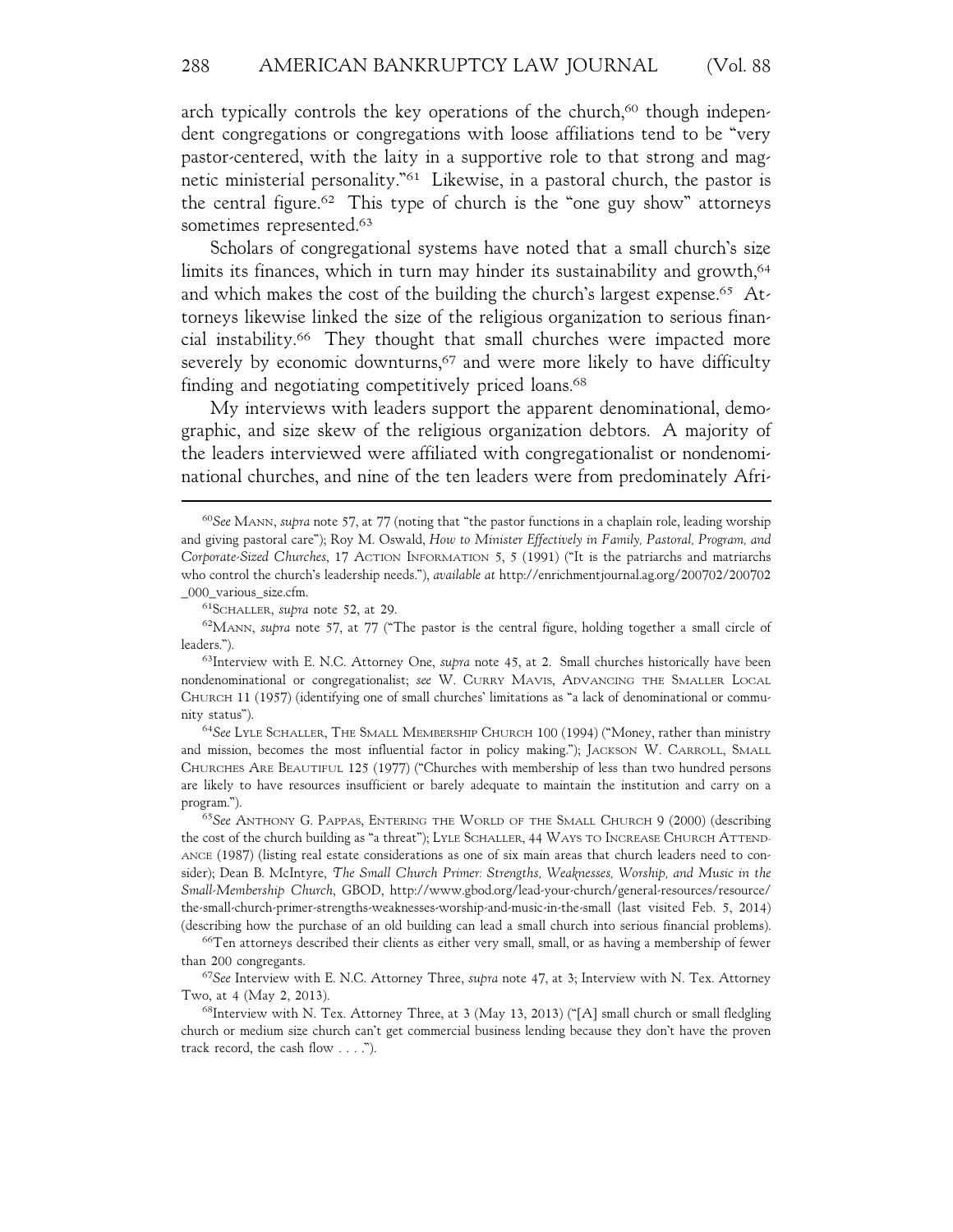arch typically controls the key operations of the church,<sup>60</sup> though independent congregations or congregations with loose affiliations tend to be "very pastor-centered, with the laity in a supportive role to that strong and magnetic ministerial personality."61 Likewise, in a pastoral church, the pastor is the central figure.62 This type of church is the "one guy show" attorneys sometimes represented.<sup>63</sup>

Scholars of congregational systems have noted that a small church's size limits its finances, which in turn may hinder its sustainability and growth,<sup>64</sup> and which makes the cost of the building the church's largest expense.<sup>65</sup> Attorneys likewise linked the size of the religious organization to serious financial instability.66 They thought that small churches were impacted more severely by economic downturns,<sup>67</sup> and were more likely to have difficulty finding and negotiating competitively priced loans.<sup>68</sup>

My interviews with leaders support the apparent denominational, demographic, and size skew of the religious organization debtors. A majority of the leaders interviewed were affiliated with congregationalist or nondenominational churches, and nine of the ten leaders were from predominately Afri-

<sup>64</sup>*See* LYLE SCHALLER, THE SMALL MEMBERSHIP CHURCH 100 (1994) ("Money, rather than ministry and mission, becomes the most influential factor in policy making."); JACKSON W. CARROLL, SMALL CHURCHES ARE BEAUTIFUL 125 (1977) ("Churches with membership of less than two hundred persons are likely to have resources insufficient or barely adequate to maintain the institution and carry on a program.").

<sup>65</sup>*See* ANTHONY G. PAPPAS, ENTERING THE WORLD OF THE SMALL CHURCH 9 (2000) (describing the cost of the church building as "a threat"); LYLE SCHALLER, 44 WAYS TO INCREASE CHURCH ATTEND-ANCE (1987) (listing real estate considerations as one of six main areas that church leaders need to consider); Dean B. McIntyre, *The Small Church Primer: Strengths, Weaknesses, Worship, and Music in the Small-Membership Church*, GBOD, http://www.gbod.org/lead-your-church/general-resources/resource/ the-small-church-primer-strengths-weaknesses-worship-and-music-in-the-small (last visited Feb. 5, 2014) (describing how the purchase of an old building can lead a small church into serious financial problems).

66Ten attorneys described their clients as either very small, small, or as having a membership of fewer than 200 congregants.

<sup>67</sup>*See* Interview with E. N.C. Attorney Three, *supra* note 47, at 3; Interview with N. Tex. Attorney Two, at 4 (May 2, 2013).

<sup>68</sup>Interview with N. Tex. Attorney Three, at 3 (May 13, 2013) ("[A] small church or small fledgling church or medium size church can't get commercial business lending because they don't have the proven track record, the cash flow . . . .").

<sup>60</sup>*See* MANN, *supra* note 57, at 77 (noting that "the pastor functions in a chaplain role, leading worship and giving pastoral care"); Roy M. Oswald, *How to Minister Effectively in Family, Pastoral, Program, and Corporate-Sized Churches*, 17 ACTION INFORMATION 5, 5 (1991) ("It is the patriarchs and matriarchs who control the church's leadership needs."), *available at* http://enrichmentjournal.ag.org/200702/200702 \_000\_various\_size.cfm.

<sup>61</sup>SCHALLER, *supra* note 52, at 29.

<sup>62</sup>MANN, *supra* note 57, at 77 ("The pastor is the central figure, holding together a small circle of leaders.").

<sup>63</sup>Interview with E. N.C. Attorney One, *supra* note 45, at 2. Small churches historically have been nondenominational or congregationalist; *see* W. CURRY MAVIS, ADVANCING THE SMALLER LOCAL CHURCH 11 (1957) (identifying one of small churches' limitations as "a lack of denominational or community status").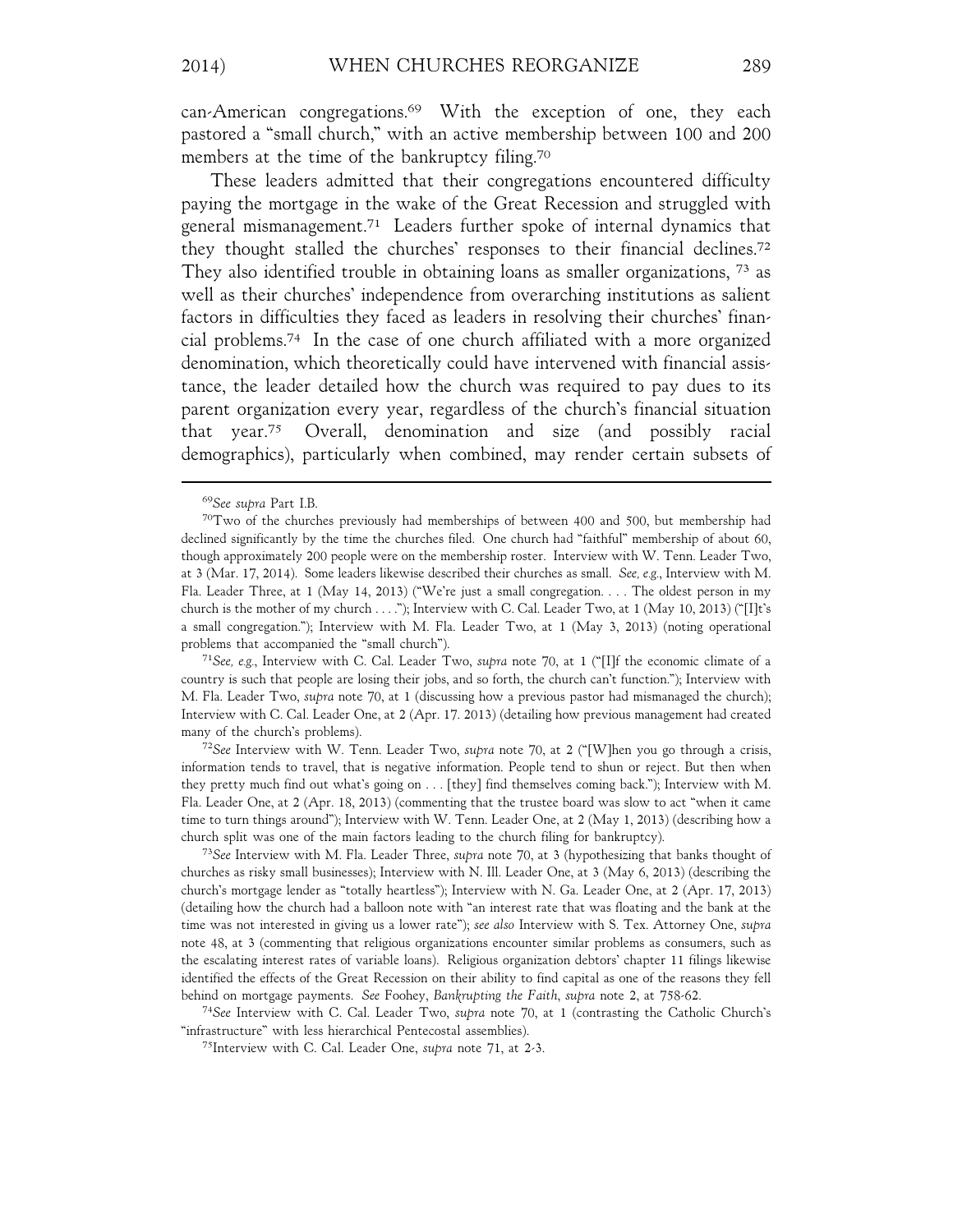can-American congregations.69 With the exception of one, they each pastored a "small church," with an active membership between 100 and 200 members at the time of the bankruptcy filing.<sup>70</sup>

These leaders admitted that their congregations encountered difficulty paying the mortgage in the wake of the Great Recession and struggled with general mismanagement.71 Leaders further spoke of internal dynamics that they thought stalled the churches' responses to their financial declines.72 They also identified trouble in obtaining loans as smaller organizations, 73 as well as their churches' independence from overarching institutions as salient factors in difficulties they faced as leaders in resolving their churches' financial problems.74 In the case of one church affiliated with a more organized denomination, which theoretically could have intervened with financial assistance, the leader detailed how the church was required to pay dues to its parent organization every year, regardless of the church's financial situation that year.75 Overall, denomination and size (and possibly racial demographics), particularly when combined, may render certain subsets of

<sup>71</sup>*See, e.g.*, Interview with C. Cal. Leader Two, *supra* note 70, at 1 ("[I]f the economic climate of a country is such that people are losing their jobs, and so forth, the church can't function."); Interview with M. Fla. Leader Two, *supra* note 70, at 1 (discussing how a previous pastor had mismanaged the church); Interview with C. Cal. Leader One, at 2 (Apr. 17. 2013) (detailing how previous management had created many of the church's problems).

<sup>72</sup>*See* Interview with W. Tenn. Leader Two, *supra* note 70, at 2 ("[W]hen you go through a crisis, information tends to travel, that is negative information. People tend to shun or reject. But then when they pretty much find out what's going on . . . [they] find themselves coming back."); Interview with M. Fla. Leader One, at 2 (Apr. 18, 2013) (commenting that the trustee board was slow to act "when it came time to turn things around"); Interview with W. Tenn. Leader One, at 2 (May 1, 2013) (describing how a church split was one of the main factors leading to the church filing for bankruptcy).

<sup>73</sup>*See* Interview with M. Fla. Leader Three, *supra* note 70, at 3 (hypothesizing that banks thought of churches as risky small businesses); Interview with N. Ill. Leader One, at 3 (May 6, 2013) (describing the church's mortgage lender as "totally heartless"); Interview with N. Ga. Leader One, at 2 (Apr. 17, 2013) (detailing how the church had a balloon note with "an interest rate that was floating and the bank at the time was not interested in giving us a lower rate"); *see also* Interview with S. Tex. Attorney One, *supra* note 48, at 3 (commenting that religious organizations encounter similar problems as consumers, such as the escalating interest rates of variable loans). Religious organization debtors' chapter 11 filings likewise identified the effects of the Great Recession on their ability to find capital as one of the reasons they fell behind on mortgage payments. *See* Foohey, *Bankrupting the Faith*, *supra* note 2, at 758-62.

<sup>74</sup>*See* Interview with C. Cal. Leader Two, *supra* note 70, at 1 (contrasting the Catholic Church's "infrastructure" with less hierarchical Pentecostal assemblies).

75Interview with C. Cal. Leader One, *supra* note 71, at 2-3.

<sup>69</sup>*See supra* Part I.B.

 $70$ Two of the churches previously had memberships of between 400 and 500, but membership had declined significantly by the time the churches filed. One church had "faithful" membership of about 60, though approximately 200 people were on the membership roster. Interview with W. Tenn. Leader Two, at 3 (Mar. 17, 2014). Some leaders likewise described their churches as small. *See, e.g.*, Interview with M. Fla. Leader Three, at 1 (May 14, 2013) ("We're just a small congregation. . . . The oldest person in my church is the mother of my church . . . ."); Interview with C. Cal. Leader Two, at 1 (May 10, 2013) ("[I]t's a small congregation."); Interview with M. Fla. Leader Two, at 1 (May 3, 2013) (noting operational problems that accompanied the "small church").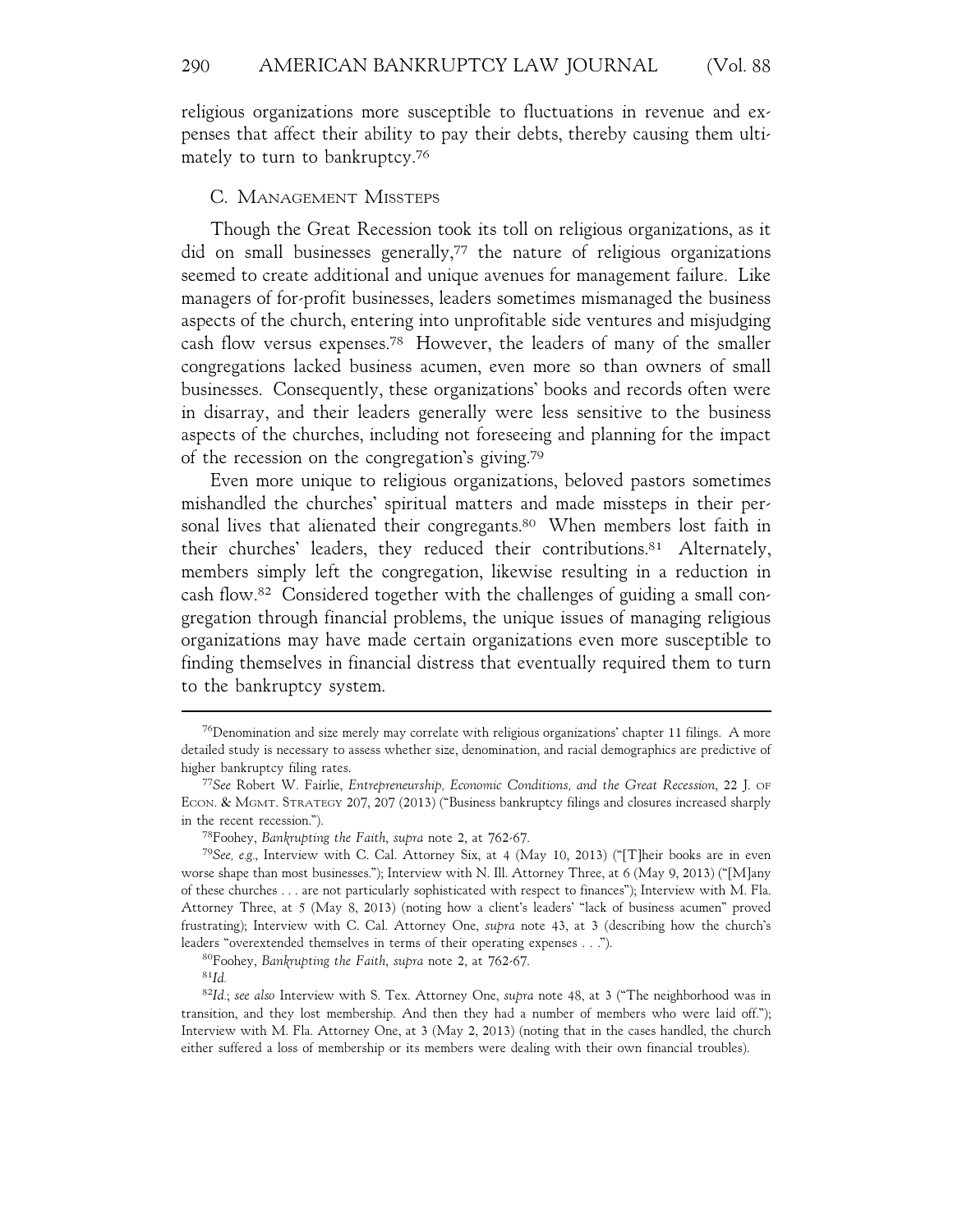religious organizations more susceptible to fluctuations in revenue and expenses that affect their ability to pay their debts, thereby causing them ultimately to turn to bankruptcy.76

### C. MANAGEMENT MISSTEPS

Though the Great Recession took its toll on religious organizations, as it did on small businesses generally, $77$  the nature of religious organizations seemed to create additional and unique avenues for management failure. Like managers of for-profit businesses, leaders sometimes mismanaged the business aspects of the church, entering into unprofitable side ventures and misjudging cash flow versus expenses.78 However, the leaders of many of the smaller congregations lacked business acumen, even more so than owners of small businesses. Consequently, these organizations' books and records often were in disarray, and their leaders generally were less sensitive to the business aspects of the churches, including not foreseeing and planning for the impact of the recession on the congregation's giving.79

Even more unique to religious organizations, beloved pastors sometimes mishandled the churches' spiritual matters and made missteps in their personal lives that alienated their congregants.<sup>80</sup> When members lost faith in their churches' leaders, they reduced their contributions.81 Alternately, members simply left the congregation, likewise resulting in a reduction in cash flow.82 Considered together with the challenges of guiding a small congregation through financial problems, the unique issues of managing religious organizations may have made certain organizations even more susceptible to finding themselves in financial distress that eventually required them to turn to the bankruptcy system.

<sup>76</sup>Denomination and size merely may correlate with religious organizations' chapter 11 filings. A more detailed study is necessary to assess whether size, denomination, and racial demographics are predictive of higher bankruptcy filing rates.

<sup>77</sup>*See* Robert W. Fairlie, *Entrepreneurship, Economic Conditions, and the Great Recession*, 22 J. OF ECON. & MGMT. STRATEGY 207, 207 (2013) ("Business bankruptcy filings and closures increased sharply in the recent recession.").

<sup>78</sup>Foohey, *Bankrupting the Faith*, *supra* note 2, at 762-67.

<sup>79</sup>*See, e.g.*, Interview with C. Cal. Attorney Six, at 4 (May 10, 2013) ("[T]heir books are in even worse shape than most businesses."); Interview with N. Ill. Attorney Three, at 6 (May 9, 2013) ("[M]any of these churches . . . are not particularly sophisticated with respect to finances"); Interview with M. Fla. Attorney Three, at 5 (May 8, 2013) (noting how a client's leaders' "lack of business acumen" proved frustrating); Interview with C. Cal. Attorney One, *supra* note 43, at 3 (describing how the church's leaders "overextended themselves in terms of their operating expenses . . .").

<sup>80</sup>Foohey, *Bankrupting the Faith*, *supra* note 2, at 762-67.

<sup>81</sup>*Id.*

<sup>82</sup>*Id.*; *see also* Interview with S. Tex. Attorney One, *supra* note 48, at 3 ("The neighborhood was in transition, and they lost membership. And then they had a number of members who were laid off."); Interview with M. Fla. Attorney One, at 3 (May 2, 2013) (noting that in the cases handled, the church either suffered a loss of membership or its members were dealing with their own financial troubles).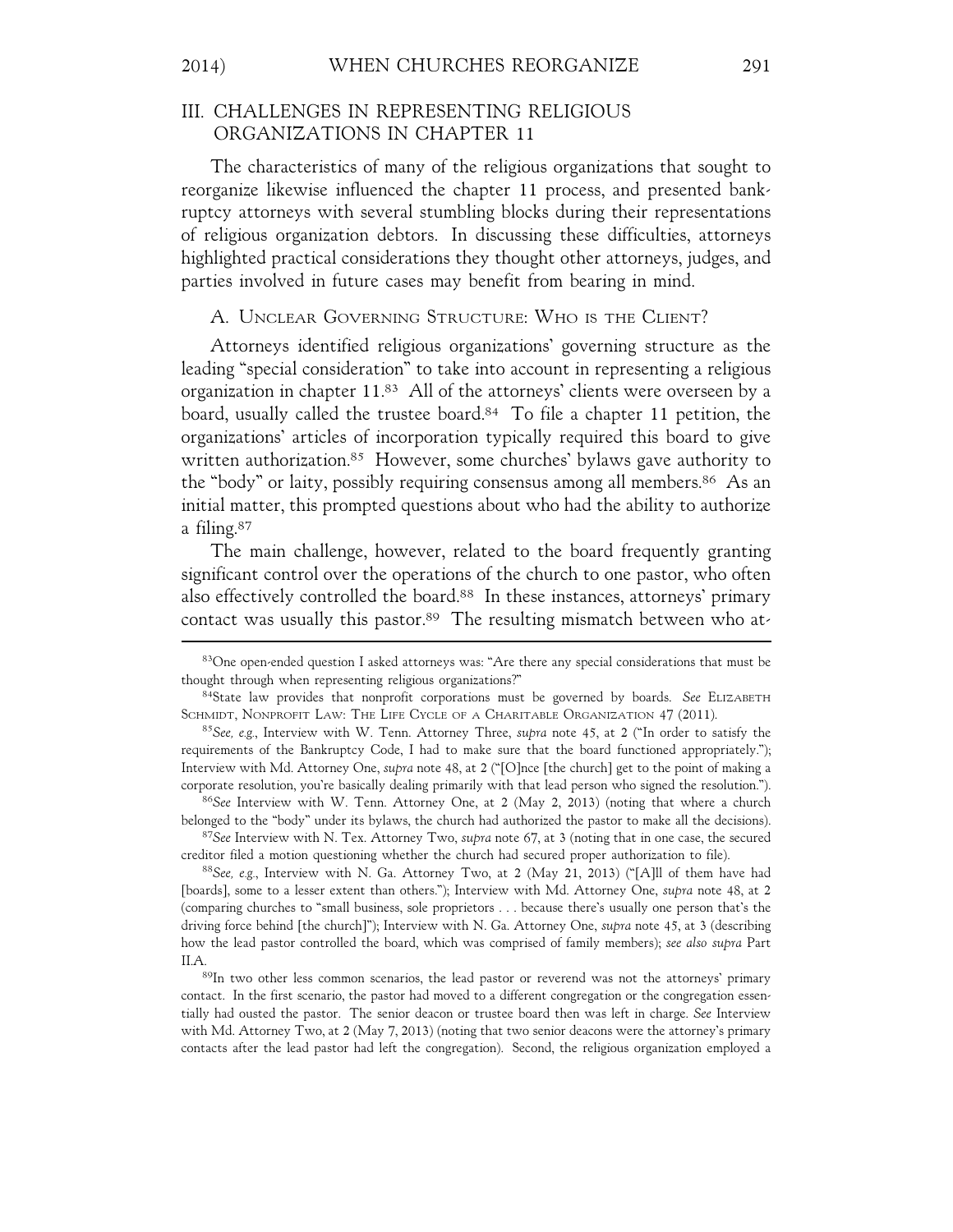## III. CHALLENGES IN REPRESENTING RELIGIOUS ORGANIZATIONS IN CHAPTER 11

The characteristics of many of the religious organizations that sought to reorganize likewise influenced the chapter 11 process, and presented bankruptcy attorneys with several stumbling blocks during their representations of religious organization debtors. In discussing these difficulties, attorneys highlighted practical considerations they thought other attorneys, judges, and parties involved in future cases may benefit from bearing in mind.

## A. UNCLEAR GOVERNING STRUCTURE: WHO IS THE CLIENT?

Attorneys identified religious organizations' governing structure as the leading "special consideration" to take into account in representing a religious organization in chapter 11.83 All of the attorneys' clients were overseen by a board, usually called the trustee board.<sup>84</sup> To file a chapter 11 petition, the organizations' articles of incorporation typically required this board to give written authorization.<sup>85</sup> However, some churches' bylaws gave authority to the "body" or laity, possibly requiring consensus among all members.86 As an initial matter, this prompted questions about who had the ability to authorize a filing.87

The main challenge, however, related to the board frequently granting significant control over the operations of the church to one pastor, who often also effectively controlled the board.<sup>88</sup> In these instances, attorneys' primary contact was usually this pastor.<sup>89</sup> The resulting mismatch between who at-

<sup>83</sup>One open-ended question I asked attorneys was: "Are there any special considerations that must be thought through when representing religious organizations?"

<sup>84</sup>State law provides that nonprofit corporations must be governed by boards. *See* ELIZABETH SCHMIDT, NONPROFIT LAW: THE LIFE CYCLE OF A CHARITABLE ORGANIZATION 47 (2011).

<sup>85</sup>*See, e.g.*, Interview with W. Tenn. Attorney Three, *supra* note 45, at 2 ("In order to satisfy the requirements of the Bankruptcy Code, I had to make sure that the board functioned appropriately."); Interview with Md. Attorney One, *supra* note 48, at 2 ("[O]nce [the church] get to the point of making a corporate resolution, you're basically dealing primarily with that lead person who signed the resolution.").

<sup>86</sup>*See* Interview with W. Tenn. Attorney One, at 2 (May 2, 2013) (noting that where a church belonged to the "body" under its bylaws, the church had authorized the pastor to make all the decisions).

<sup>87</sup>*See* Interview with N. Tex. Attorney Two, *supra* note 67, at 3 (noting that in one case, the secured creditor filed a motion questioning whether the church had secured proper authorization to file).

<sup>88</sup>*See, e.g.*, Interview with N. Ga. Attorney Two, at 2 (May 21, 2013) ("[A]ll of them have had [boards], some to a lesser extent than others."); Interview with Md. Attorney One, *supra* note 48, at 2 (comparing churches to "small business, sole proprietors . . . because there's usually one person that's the driving force behind [the church]"); Interview with N. Ga. Attorney One, *supra* note 45, at 3 (describing how the lead pastor controlled the board, which was comprised of family members); *see also supra* Part II.A.<br><sup>89</sup>In two other less common scenarios, the lead pastor or reverend was not the attorneys' primary

contact. In the first scenario, the pastor had moved to a different congregation or the congregation essentially had ousted the pastor. The senior deacon or trustee board then was left in charge. *See* Interview with Md. Attorney Two, at 2 (May 7, 2013) (noting that two senior deacons were the attorney's primary contacts after the lead pastor had left the congregation). Second, the religious organization employed a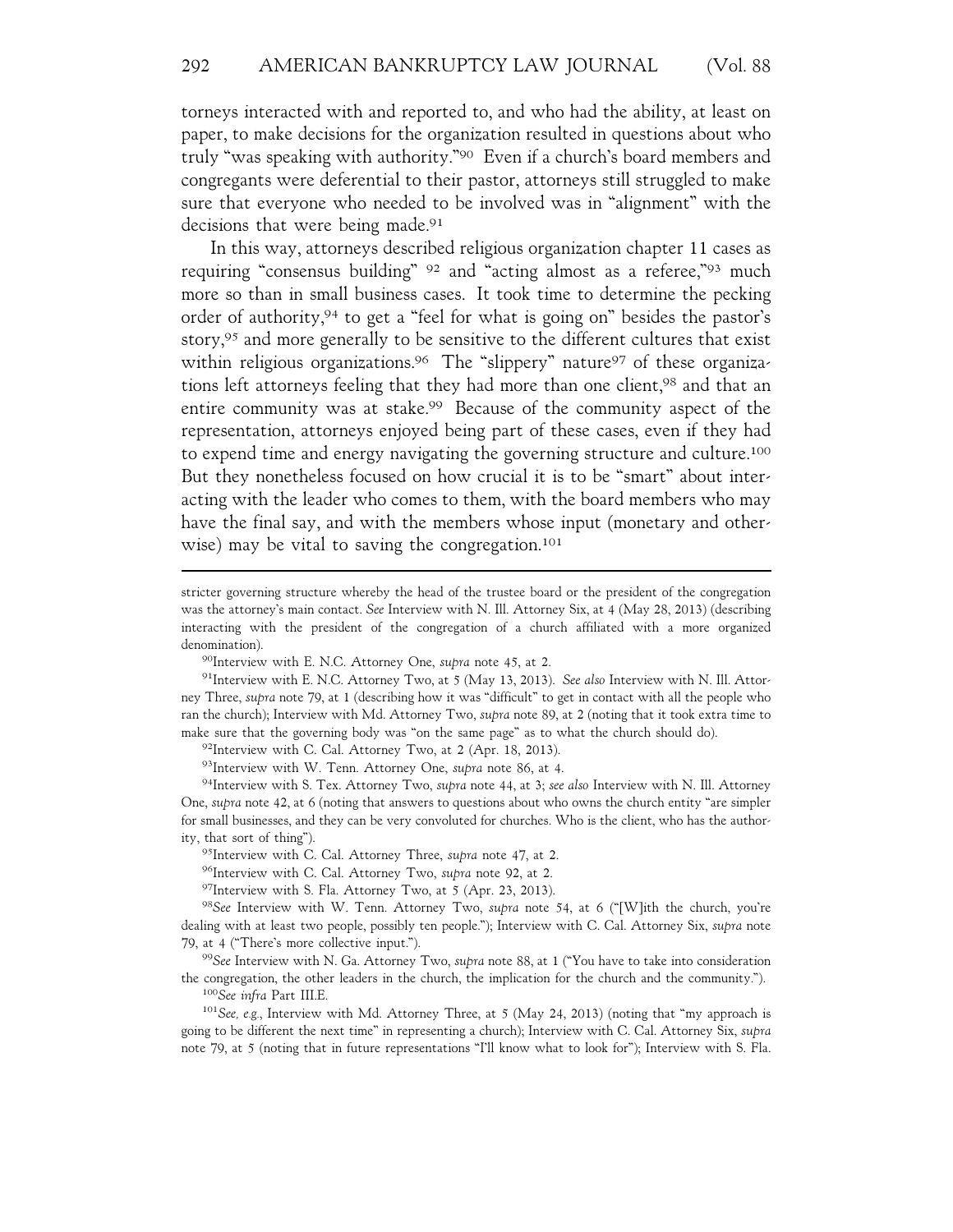torneys interacted with and reported to, and who had the ability, at least on paper, to make decisions for the organization resulted in questions about who truly "was speaking with authority."90 Even if a church's board members and congregants were deferential to their pastor, attorneys still struggled to make sure that everyone who needed to be involved was in "alignment" with the decisions that were being made.<sup>91</sup>

In this way, attorneys described religious organization chapter 11 cases as requiring "consensus building" 92 and "acting almost as a referee,"93 much more so than in small business cases. It took time to determine the pecking order of authority,94 to get a "feel for what is going on" besides the pastor's story,<sup>95</sup> and more generally to be sensitive to the different cultures that exist within religious organizations.<sup>96</sup> The "slippery" nature<sup>97</sup> of these organizations left attorneys feeling that they had more than one client,<sup>98</sup> and that an entire community was at stake.99 Because of the community aspect of the representation, attorneys enjoyed being part of these cases, even if they had to expend time and energy navigating the governing structure and culture.100 But they nonetheless focused on how crucial it is to be "smart" about interacting with the leader who comes to them, with the board members who may have the final say, and with the members whose input (monetary and otherwise) may be vital to saving the congregation.<sup>101</sup>

 $92$ Interview with C. Cal. Attorney Two, at 2 (Apr. 18, 2013).

93Interview with W. Tenn. Attorney One, *supra* note 86, at 4.

94Interview with S. Tex. Attorney Two, *supra* note 44, at 3; *see also* Interview with N. Ill. Attorney One, *supra* note 42, at 6 (noting that answers to questions about who owns the church entity "are simpler for small businesses, and they can be very convoluted for churches. Who is the client, who has the authority, that sort of thing").

95Interview with C. Cal. Attorney Three, *supra* note 47, at 2.

97Interview with S. Fla. Attorney Two, at 5 (Apr. 23, 2013).

<sup>98</sup>*See* Interview with W. Tenn. Attorney Two, *supra* note 54, at 6 ("[W]ith the church, you're dealing with at least two people, possibly ten people."); Interview with C. Cal. Attorney Six, *supra* note 79, at 4 ("There's more collective input.").

<sup>99</sup>*See* Interview with N. Ga. Attorney Two, *supra* note 88, at 1 ("You have to take into consideration the congregation, the other leaders in the church, the implication for the church and the community."). <sup>100</sup>*See infra* Part III.E.

<sup>101</sup>*See, e.g.*, Interview with Md. Attorney Three, at 5 (May 24, 2013) (noting that "my approach is going to be different the next time" in representing a church); Interview with C. Cal. Attorney Six, *supra* note 79, at 5 (noting that in future representations "I'll know what to look for"); Interview with S. Fla.

stricter governing structure whereby the head of the trustee board or the president of the congregation was the attorney's main contact. *See* Interview with N. Ill. Attorney Six, at 4 (May 28, 2013) (describing interacting with the president of the congregation of a church affiliated with a more organized denomination).

<sup>90</sup>Interview with E. N.C. Attorney One, *supra* note 45, at 2.

<sup>91</sup>Interview with E. N.C. Attorney Two, at 5 (May 13, 2013). *See also* Interview with N. Ill. Attorney Three, *supra* note 79, at 1 (describing how it was "difficult" to get in contact with all the people who ran the church); Interview with Md. Attorney Two, *supra* note 89, at 2 (noting that it took extra time to make sure that the governing body was "on the same page" as to what the church should do).

<sup>96</sup>Interview with C. Cal. Attorney Two, *supra* note 92, at 2.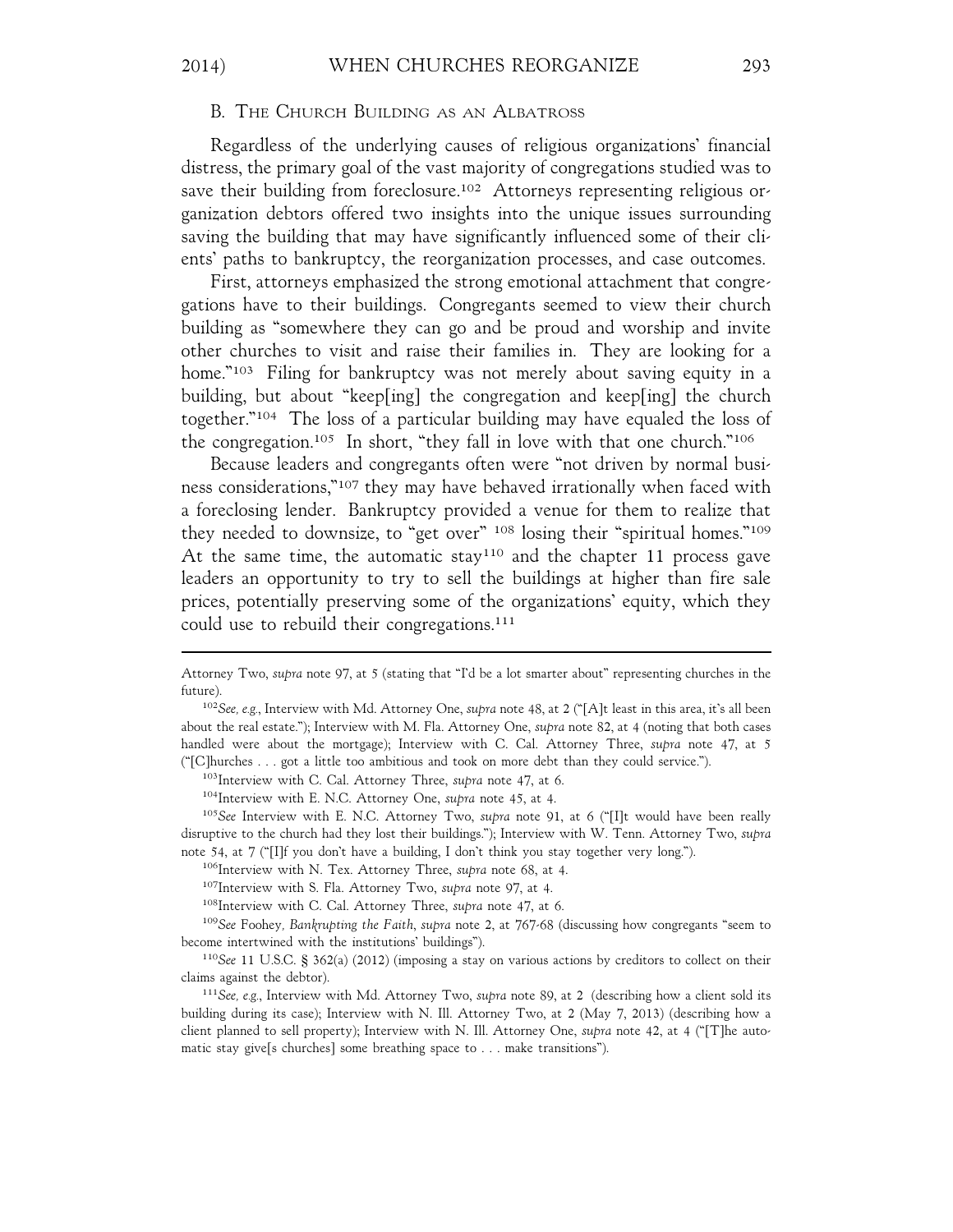#### B. THE CHURCH BUILDING AS AN ALBATROSS

Regardless of the underlying causes of religious organizations' financial distress, the primary goal of the vast majority of congregations studied was to save their building from foreclosure.<sup>102</sup> Attorneys representing religious organization debtors offered two insights into the unique issues surrounding saving the building that may have significantly influenced some of their clients' paths to bankruptcy, the reorganization processes, and case outcomes.

First, attorneys emphasized the strong emotional attachment that congregations have to their buildings. Congregants seemed to view their church building as "somewhere they can go and be proud and worship and invite other churches to visit and raise their families in. They are looking for a home."<sup>103</sup> Filing for bankruptcy was not merely about saving equity in a building, but about "keep[ing] the congregation and keep[ing] the church together."104 The loss of a particular building may have equaled the loss of the congregation.105 In short, "they fall in love with that one church."106

Because leaders and congregants often were "not driven by normal business considerations,"107 they may have behaved irrationally when faced with a foreclosing lender. Bankruptcy provided a venue for them to realize that they needed to downsize, to "get over" 108 losing their "spiritual homes."109 At the same time, the automatic stay<sup>110</sup> and the chapter 11 process gave leaders an opportunity to try to sell the buildings at higher than fire sale prices, potentially preserving some of the organizations' equity, which they could use to rebuild their congregations.111

103Interview with C. Cal. Attorney Three, *supra* note 47, at 6.

Attorney Two, *supra* note 97, at 5 (stating that "I'd be a lot smarter about" representing churches in the future).

<sup>102</sup>*See, e.g.*, Interview with Md. Attorney One, *supra* note 48, at 2 ("[A]t least in this area, it's all been about the real estate."); Interview with M. Fla. Attorney One, *supra* note 82, at 4 (noting that both cases handled were about the mortgage); Interview with C. Cal. Attorney Three, *supra* note 47, at 5 ("[C]hurches . . . got a little too ambitious and took on more debt than they could service.").

<sup>104</sup>Interview with E. N.C. Attorney One, *supra* note 45, at 4.

<sup>105</sup>*See* Interview with E. N.C. Attorney Two, *supra* note 91, at 6 ("[I]t would have been really disruptive to the church had they lost their buildings."); Interview with W. Tenn. Attorney Two, *supra* note 54, at 7 ("[I]f you don't have a building, I don't think you stay together very long.").

<sup>106</sup>Interview with N. Tex. Attorney Three, *supra* note 68, at 4.

<sup>107</sup>Interview with S. Fla. Attorney Two, *supra* note 97, at 4.

<sup>108</sup>Interview with C. Cal. Attorney Three, *supra* note 47, at 6.

<sup>109</sup>*See* Foohey*, Bankrupting the Faith*, *supra* note 2, at 767-68 (discussing how congregants "seem to become intertwined with the institutions' buildings").

<sup>110</sup>*See* 11 U.S.C. § 362(a) (2012) (imposing a stay on various actions by creditors to collect on their claims against the debtor).

<sup>111</sup>*See, e.g.*, Interview with Md. Attorney Two, *supra* note 89, at 2 (describing how a client sold its building during its case); Interview with N. Ill. Attorney Two, at 2 (May 7, 2013) (describing how a client planned to sell property); Interview with N. Ill. Attorney One, *supra* note 42, at 4 ("[T]he automatic stay give[s churches] some breathing space to . . . make transitions").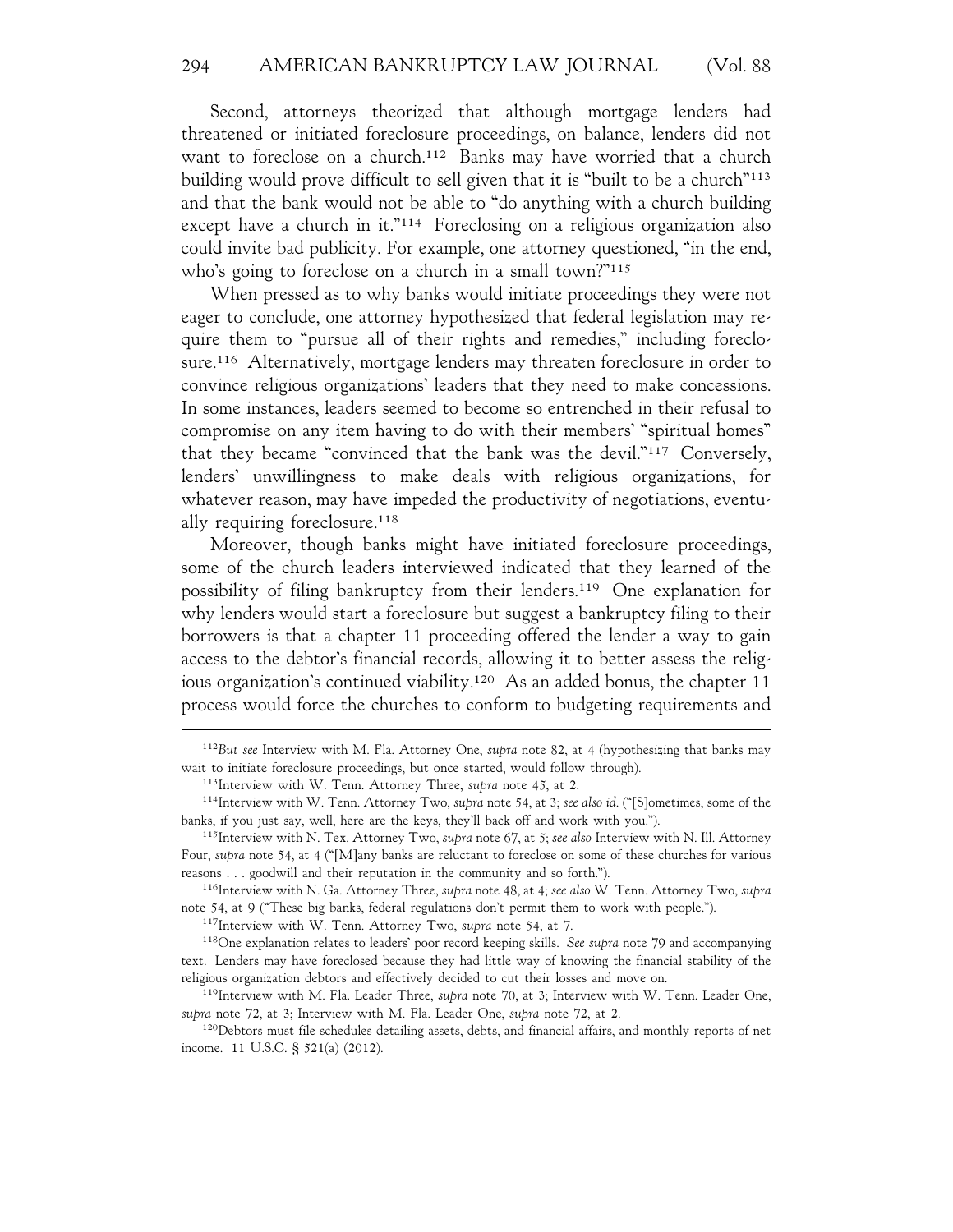Second, attorneys theorized that although mortgage lenders had threatened or initiated foreclosure proceedings, on balance, lenders did not want to foreclose on a church.<sup>112</sup> Banks may have worried that a church building would prove difficult to sell given that it is "built to be a church"113 and that the bank would not be able to "do anything with a church building except have a church in it."<sup>114</sup> Foreclosing on a religious organization also could invite bad publicity. For example, one attorney questioned, "in the end, who's going to foreclose on a church in a small town?"<sup>115</sup>

When pressed as to why banks would initiate proceedings they were not eager to conclude, one attorney hypothesized that federal legislation may require them to "pursue all of their rights and remedies," including foreclosure.116 Alternatively, mortgage lenders may threaten foreclosure in order to convince religious organizations' leaders that they need to make concessions. In some instances, leaders seemed to become so entrenched in their refusal to compromise on any item having to do with their members' "spiritual homes" that they became "convinced that the bank was the devil."117 Conversely, lenders' unwillingness to make deals with religious organizations, for whatever reason, may have impeded the productivity of negotiations, eventually requiring foreclosure.<sup>118</sup>

Moreover, though banks might have initiated foreclosure proceedings, some of the church leaders interviewed indicated that they learned of the possibility of filing bankruptcy from their lenders.119 One explanation for why lenders would start a foreclosure but suggest a bankruptcy filing to their borrowers is that a chapter 11 proceeding offered the lender a way to gain access to the debtor's financial records, allowing it to better assess the religious organization's continued viability.120 As an added bonus, the chapter 11 process would force the churches to conform to budgeting requirements and

117Interview with W. Tenn. Attorney Two, *supra* note 54, at 7.

118One explanation relates to leaders' poor record keeping skills. *See supra* note 79 and accompanying text. Lenders may have foreclosed because they had little way of knowing the financial stability of the religious organization debtors and effectively decided to cut their losses and move on.

119Interview with M. Fla. Leader Three, *supra* note 70, at 3; Interview with W. Tenn. Leader One, *supra* note 72, at 3; Interview with M. Fla. Leader One, *supra* note 72, at 2.

<sup>112</sup>*But see* Interview with M. Fla. Attorney One, *supra* note 82, at 4 (hypothesizing that banks may wait to initiate foreclosure proceedings, but once started, would follow through).

<sup>113</sup>Interview with W. Tenn. Attorney Three, *supra* note 45, at 2.

<sup>114</sup>Interview with W. Tenn. Attorney Two, *supra* note 54, at 3; *see also id*. ("[S]ometimes, some of the banks, if you just say, well, here are the keys, they'll back off and work with you.").

<sup>115</sup>Interview with N. Tex. Attorney Two, *supra* note 67, at 5; *see also* Interview with N. Ill. Attorney Four, *supra* note 54, at 4 ("[M]any banks are reluctant to foreclose on some of these churches for various reasons . . . goodwill and their reputation in the community and so forth.").

<sup>116</sup>Interview with N. Ga. Attorney Three, *supra* note 48, at 4; *see also* W. Tenn. Attorney Two, *supra* note 54, at 9 ("These big banks, federal regulations don't permit them to work with people.").

<sup>&</sup>lt;sup>120</sup>Debtors must file schedules detailing assets, debts, and financial affairs, and monthly reports of net income. 11 U.S.C. § 521(a) (2012).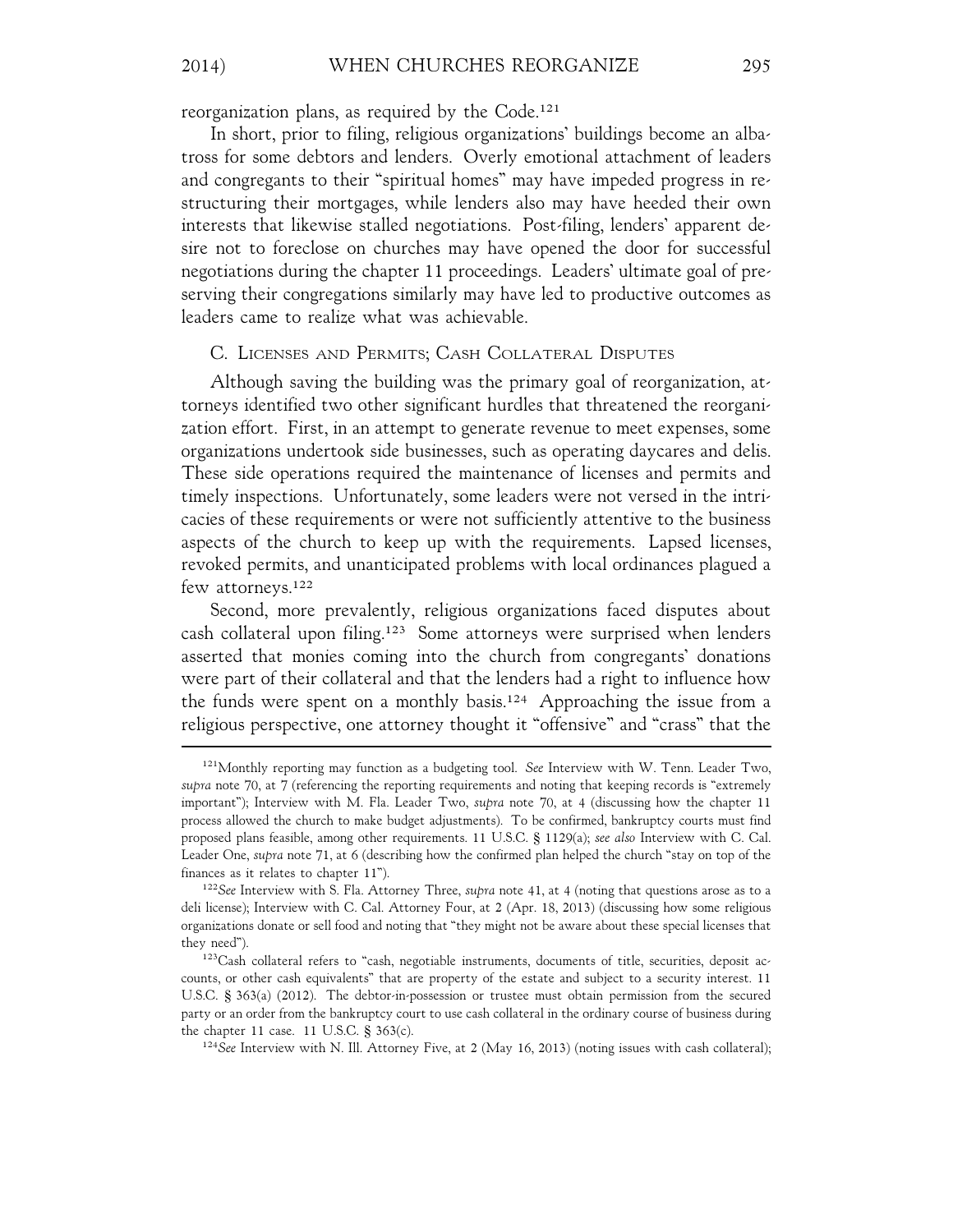reorganization plans, as required by the Code.121

In short, prior to filing, religious organizations' buildings become an albatross for some debtors and lenders. Overly emotional attachment of leaders and congregants to their "spiritual homes" may have impeded progress in restructuring their mortgages, while lenders also may have heeded their own interests that likewise stalled negotiations. Post-filing, lenders' apparent desire not to foreclose on churches may have opened the door for successful negotiations during the chapter 11 proceedings. Leaders' ultimate goal of preserving their congregations similarly may have led to productive outcomes as leaders came to realize what was achievable.

### C. LICENSES AND PERMITS; CASH COLLATERAL DISPUTES

Although saving the building was the primary goal of reorganization, attorneys identified two other significant hurdles that threatened the reorganization effort. First, in an attempt to generate revenue to meet expenses, some organizations undertook side businesses, such as operating daycares and delis. These side operations required the maintenance of licenses and permits and timely inspections. Unfortunately, some leaders were not versed in the intricacies of these requirements or were not sufficiently attentive to the business aspects of the church to keep up with the requirements. Lapsed licenses, revoked permits, and unanticipated problems with local ordinances plagued a few attorneys.122

Second, more prevalently, religious organizations faced disputes about cash collateral upon filing.123 Some attorneys were surprised when lenders asserted that monies coming into the church from congregants' donations were part of their collateral and that the lenders had a right to influence how the funds were spent on a monthly basis.124 Approaching the issue from a religious perspective, one attorney thought it "offensive" and "crass" that the

<sup>121</sup>Monthly reporting may function as a budgeting tool. *See* Interview with W. Tenn. Leader Two, *supra* note 70, at 7 (referencing the reporting requirements and noting that keeping records is "extremely important"); Interview with M. Fla. Leader Two, *supra* note 70, at 4 (discussing how the chapter 11 process allowed the church to make budget adjustments). To be confirmed, bankruptcy courts must find proposed plans feasible, among other requirements. 11 U.S.C. § 1129(a); *see also* Interview with C. Cal. Leader One, *supra* note 71, at 6 (describing how the confirmed plan helped the church "stay on top of the finances as it relates to chapter 11").

<sup>122</sup>*See* Interview with S. Fla. Attorney Three, *supra* note 41, at 4 (noting that questions arose as to a deli license); Interview with C. Cal. Attorney Four, at 2 (Apr. 18, 2013) (discussing how some religious organizations donate or sell food and noting that "they might not be aware about these special licenses that they need").

<sup>123</sup>Cash collateral refers to "cash, negotiable instruments, documents of title, securities, deposit accounts, or other cash equivalents" that are property of the estate and subject to a security interest. 11 U.S.C. § 363(a) (2012). The debtor-in-possession or trustee must obtain permission from the secured party or an order from the bankruptcy court to use cash collateral in the ordinary course of business during the chapter 11 case. 11 U.S.C. § 363(c).

<sup>124</sup>*See* Interview with N. Ill. Attorney Five, at 2 (May 16, 2013) (noting issues with cash collateral);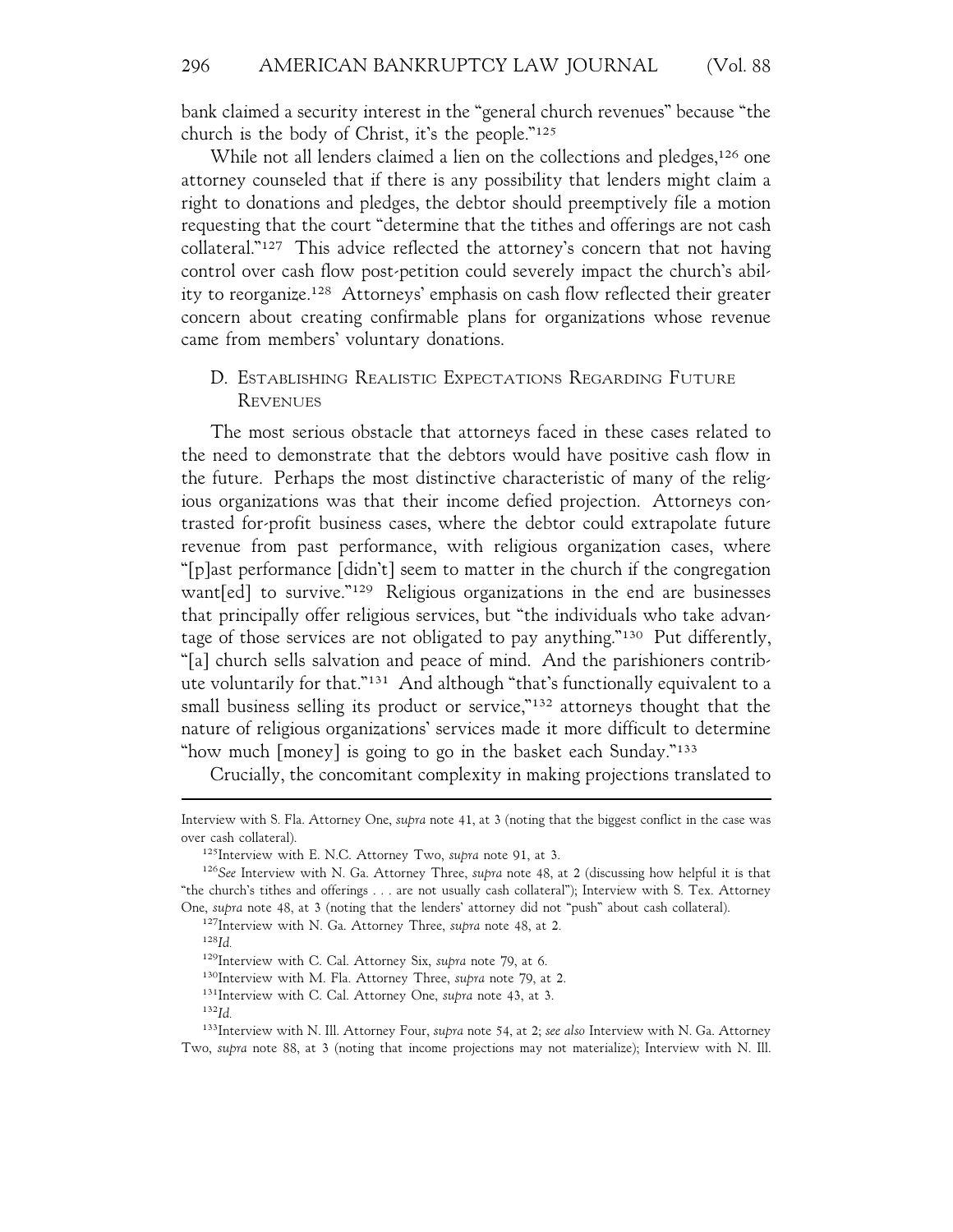bank claimed a security interest in the "general church revenues" because "the church is the body of Christ, it's the people."125

While not all lenders claimed a lien on the collections and pledges,<sup>126</sup> one attorney counseled that if there is any possibility that lenders might claim a right to donations and pledges, the debtor should preemptively file a motion requesting that the court "determine that the tithes and offerings are not cash collateral."127 This advice reflected the attorney's concern that not having control over cash flow post-petition could severely impact the church's ability to reorganize.128 Attorneys' emphasis on cash flow reflected their greater concern about creating confirmable plans for organizations whose revenue came from members' voluntary donations.

# D. ESTABLISHING REALISTIC EXPECTATIONS REGARDING FUTURE **REVENUES**

The most serious obstacle that attorneys faced in these cases related to the need to demonstrate that the debtors would have positive cash flow in the future. Perhaps the most distinctive characteristic of many of the religious organizations was that their income defied projection. Attorneys contrasted for-profit business cases, where the debtor could extrapolate future revenue from past performance, with religious organization cases, where "[p]ast performance [didn't] seem to matter in the church if the congregation want[ed] to survive."129 Religious organizations in the end are businesses that principally offer religious services, but "the individuals who take advantage of those services are not obligated to pay anything."130 Put differently, "[a] church sells salvation and peace of mind. And the parishioners contribute voluntarily for that."131 And although "that's functionally equivalent to a small business selling its product or service,"<sup>132</sup> attorneys thought that the nature of religious organizations' services made it more difficult to determine "how much [money] is going to go in the basket each Sunday."133

Crucially, the concomitant complexity in making projections translated to

<sup>128</sup>*Id.*

<sup>132</sup>*Id.*

Interview with S. Fla. Attorney One, *supra* note 41, at 3 (noting that the biggest conflict in the case was over cash collateral).

<sup>125</sup>Interview with E. N.C. Attorney Two, *supra* note 91, at 3.

<sup>126</sup>*See* Interview with N. Ga. Attorney Three, *supra* note 48, at 2 (discussing how helpful it is that "the church's tithes and offerings . . . are not usually cash collateral"); Interview with S. Tex. Attorney One, *supra* note 48, at 3 (noting that the lenders' attorney did not "push" about cash collateral).

<sup>127</sup>Interview with N. Ga. Attorney Three, *supra* note 48, at 2.

<sup>129</sup>Interview with C. Cal. Attorney Six, *supra* note 79, at 6.

<sup>130</sup>Interview with M. Fla. Attorney Three, *supra* note 79, at 2.

<sup>131</sup>Interview with C. Cal. Attorney One, *supra* note 43, at 3.

<sup>133</sup>Interview with N. Ill. Attorney Four, *supra* note 54, at 2; *see also* Interview with N. Ga. Attorney Two, *supra* note 88, at 3 (noting that income projections may not materialize); Interview with N. Ill.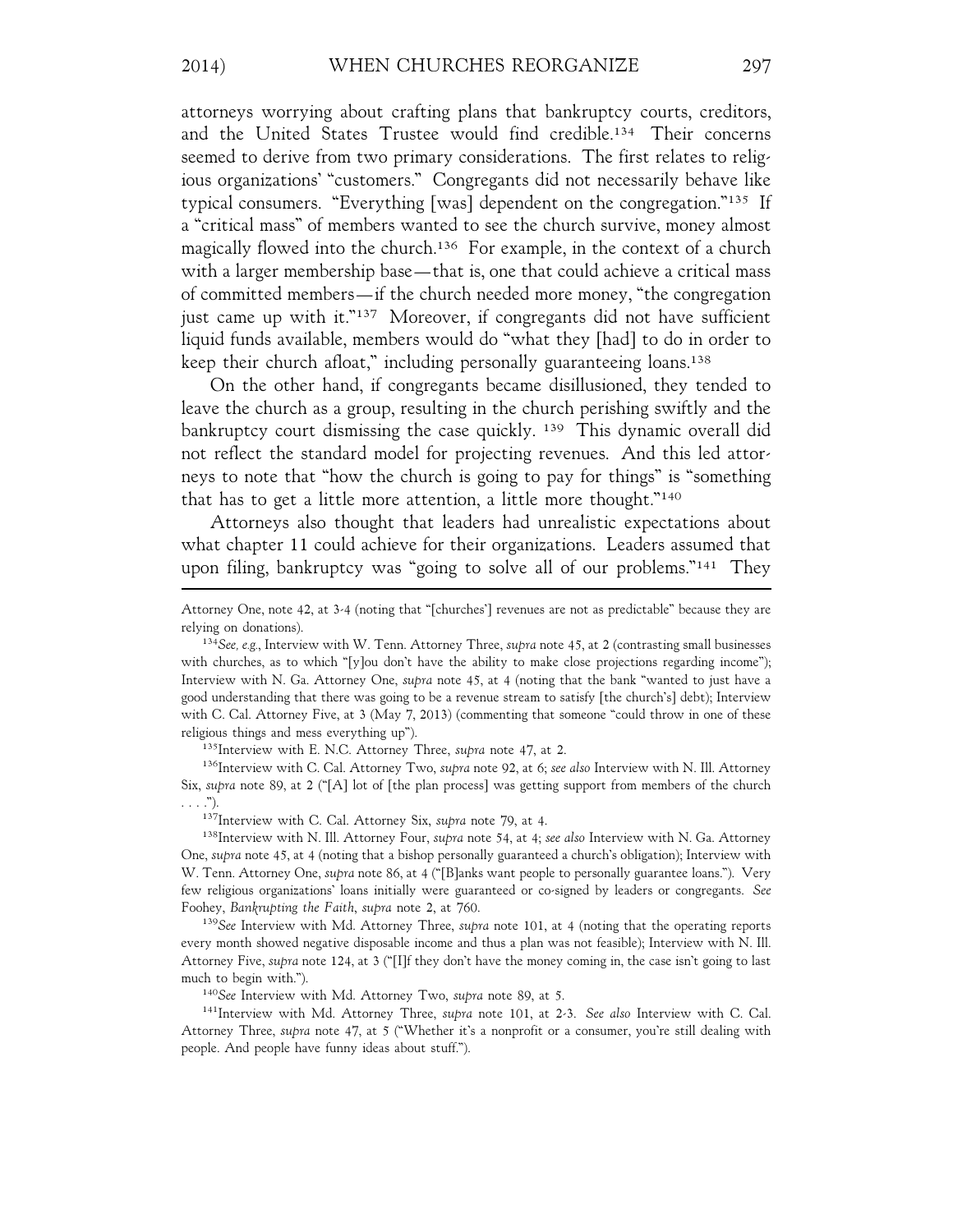attorneys worrying about crafting plans that bankruptcy courts, creditors, and the United States Trustee would find credible.134 Their concerns seemed to derive from two primary considerations. The first relates to religious organizations' "customers." Congregants did not necessarily behave like typical consumers. "Everything [was] dependent on the congregation."135 If a "critical mass" of members wanted to see the church survive, money almost magically flowed into the church.136 For example, in the context of a church with a larger membership base—that is, one that could achieve a critical mass of committed members—if the church needed more money, "the congregation just came up with it."137 Moreover, if congregants did not have sufficient liquid funds available, members would do "what they [had] to do in order to keep their church afloat," including personally guaranteeing loans.138

On the other hand, if congregants became disillusioned, they tended to leave the church as a group, resulting in the church perishing swiftly and the bankruptcy court dismissing the case quickly. 139 This dynamic overall did not reflect the standard model for projecting revenues. And this led attorneys to note that "how the church is going to pay for things" is "something that has to get a little more attention, a little more thought."140

Attorneys also thought that leaders had unrealistic expectations about what chapter 11 could achieve for their organizations. Leaders assumed that upon filing, bankruptcy was "going to solve all of our problems."141 They

135Interview with E. N.C. Attorney Three, *supra* note 47, at 2.

136Interview with C. Cal. Attorney Two, *supra* note 92, at 6; *see also* Interview with N. Ill. Attorney Six, *supra* note 89, at 2 ("[A] lot of [the plan process] was getting support from members of the church . . . .").

137Interview with C. Cal. Attorney Six, *supra* note 79, at 4.

138Interview with N. Ill. Attorney Four, *supra* note 54, at 4; *see also* Interview with N. Ga. Attorney One, *supra* note 45, at 4 (noting that a bishop personally guaranteed a church's obligation); Interview with W. Tenn. Attorney One, *supra* note 86, at 4 ("[B]anks want people to personally guarantee loans."). Very few religious organizations' loans initially were guaranteed or co-signed by leaders or congregants. *See* Foohey, *Bankrupting the Faith*, *supra* note 2, at 760.

<sup>139</sup>*See* Interview with Md. Attorney Three, *supra* note 101, at 4 (noting that the operating reports every month showed negative disposable income and thus a plan was not feasible); Interview with N. Ill. Attorney Five, *supra* note 124, at 3 ("[I]f they don't have the money coming in, the case isn't going to last much to begin with.").

<sup>140</sup>*See* Interview with Md. Attorney Two, *supra* note 89, at 5.

141Interview with Md. Attorney Three, *supra* note 101, at 2-3. *See also* Interview with C. Cal. Attorney Three, *supra* note 47, at 5 ("Whether it's a nonprofit or a consumer, you're still dealing with people. And people have funny ideas about stuff.").

Attorney One, note 42, at 3-4 (noting that "[churches'] revenues are not as predictable" because they are relying on donations).

<sup>134</sup>*See, e.g.*, Interview with W. Tenn. Attorney Three, *supra* note 45, at 2 (contrasting small businesses with churches, as to which "[y]ou don't have the ability to make close projections regarding income"); Interview with N. Ga. Attorney One, *supra* note 45, at 4 (noting that the bank "wanted to just have a good understanding that there was going to be a revenue stream to satisfy [the church's] debt); Interview with C. Cal. Attorney Five, at 3 (May 7, 2013) (commenting that someone "could throw in one of these religious things and mess everything up").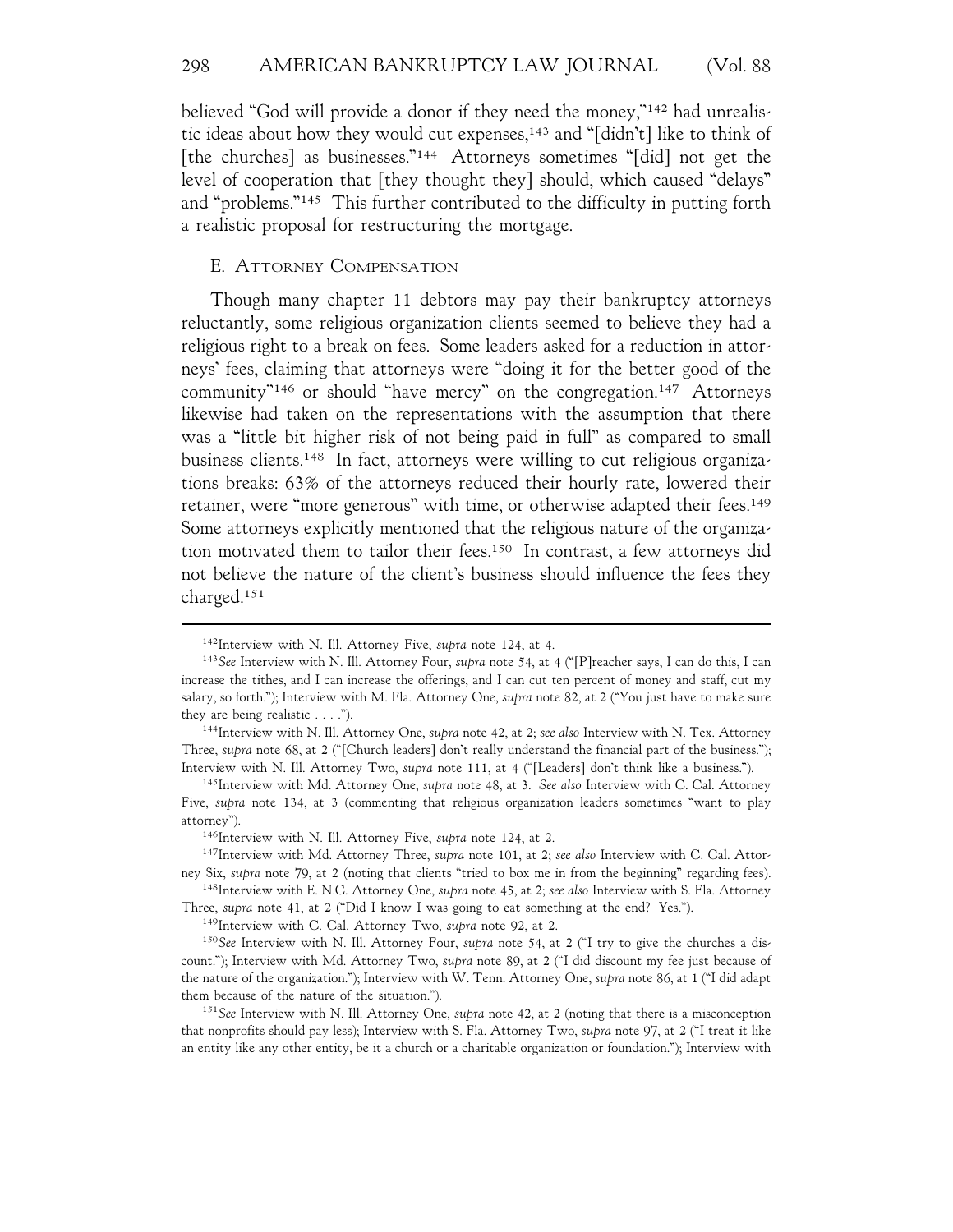believed "God will provide a donor if they need the money,"142 had unrealistic ideas about how they would cut expenses,<sup>143</sup> and "[didn't] like to think of [the churches] as businesses."144 Attorneys sometimes "[did] not get the level of cooperation that [they thought they] should, which caused "delays" and "problems."145 This further contributed to the difficulty in putting forth a realistic proposal for restructuring the mortgage.

## E. ATTORNEY COMPENSATION

Though many chapter 11 debtors may pay their bankruptcy attorneys reluctantly, some religious organization clients seemed to believe they had a religious right to a break on fees. Some leaders asked for a reduction in attorneys' fees, claiming that attorneys were "doing it for the better good of the community"146 or should "have mercy" on the congregation.147 Attorneys likewise had taken on the representations with the assumption that there was a "little bit higher risk of not being paid in full" as compared to small business clients.148 In fact, attorneys were willing to cut religious organizations breaks: 63% of the attorneys reduced their hourly rate, lowered their retainer, were "more generous" with time, or otherwise adapted their fees.149 Some attorneys explicitly mentioned that the religious nature of the organization motivated them to tailor their fees.150 In contrast, a few attorneys did not believe the nature of the client's business should influence the fees they charged.151

<sup>142</sup>Interview with N. Ill. Attorney Five, *supra* note 124, at 4.

<sup>143</sup>*See* Interview with N. Ill. Attorney Four, *supra* note 54, at 4 ("[P]reacher says, I can do this, I can increase the tithes, and I can increase the offerings, and I can cut ten percent of money and staff, cut my salary, so forth."); Interview with M. Fla. Attorney One, *supra* note 82, at 2 ("You just have to make sure they are being realistic . . . .").

<sup>144</sup>Interview with N. Ill. Attorney One, *supra* note 42, at 2; *see also* Interview with N. Tex. Attorney Three, *supra* note 68, at 2 ("[Church leaders] don't really understand the financial part of the business."); Interview with N. Ill. Attorney Two, *supra* note 111, at 4 ("[Leaders] don't think like a business.").

<sup>145</sup>Interview with Md. Attorney One, *supra* note 48, at 3. *See also* Interview with C. Cal. Attorney Five, *supra* note 134, at 3 (commenting that religious organization leaders sometimes "want to play attorney").

<sup>146</sup>Interview with N. Ill. Attorney Five, *supra* note 124, at 2.

<sup>147</sup>Interview with Md. Attorney Three, *supra* note 101, at 2; *see also* Interview with C. Cal. Attorney Six, *supra* note 79, at 2 (noting that clients "tried to box me in from the beginning" regarding fees).

<sup>148</sup>Interview with E. N.C. Attorney One, *supra* note 45, at 2; *see also* Interview with S. Fla. Attorney Three, *supra* note 41, at 2 ("Did I know I was going to eat something at the end? Yes.").

<sup>149</sup>Interview with C. Cal. Attorney Two, *supra* note 92, at 2.

<sup>150</sup>*See* Interview with N. Ill. Attorney Four, *supra* note 54, at 2 ("I try to give the churches a discount."); Interview with Md. Attorney Two, *supra* note 89, at 2 ("I did discount my fee just because of the nature of the organization."); Interview with W. Tenn. Attorney One, *supra* note 86, at 1 ("I did adapt them because of the nature of the situation.").

<sup>151</sup>*See* Interview with N. Ill. Attorney One, *supra* note 42, at 2 (noting that there is a misconception that nonprofits should pay less); Interview with S. Fla. Attorney Two, *supra* note 97, at 2 ("I treat it like an entity like any other entity, be it a church or a charitable organization or foundation."); Interview with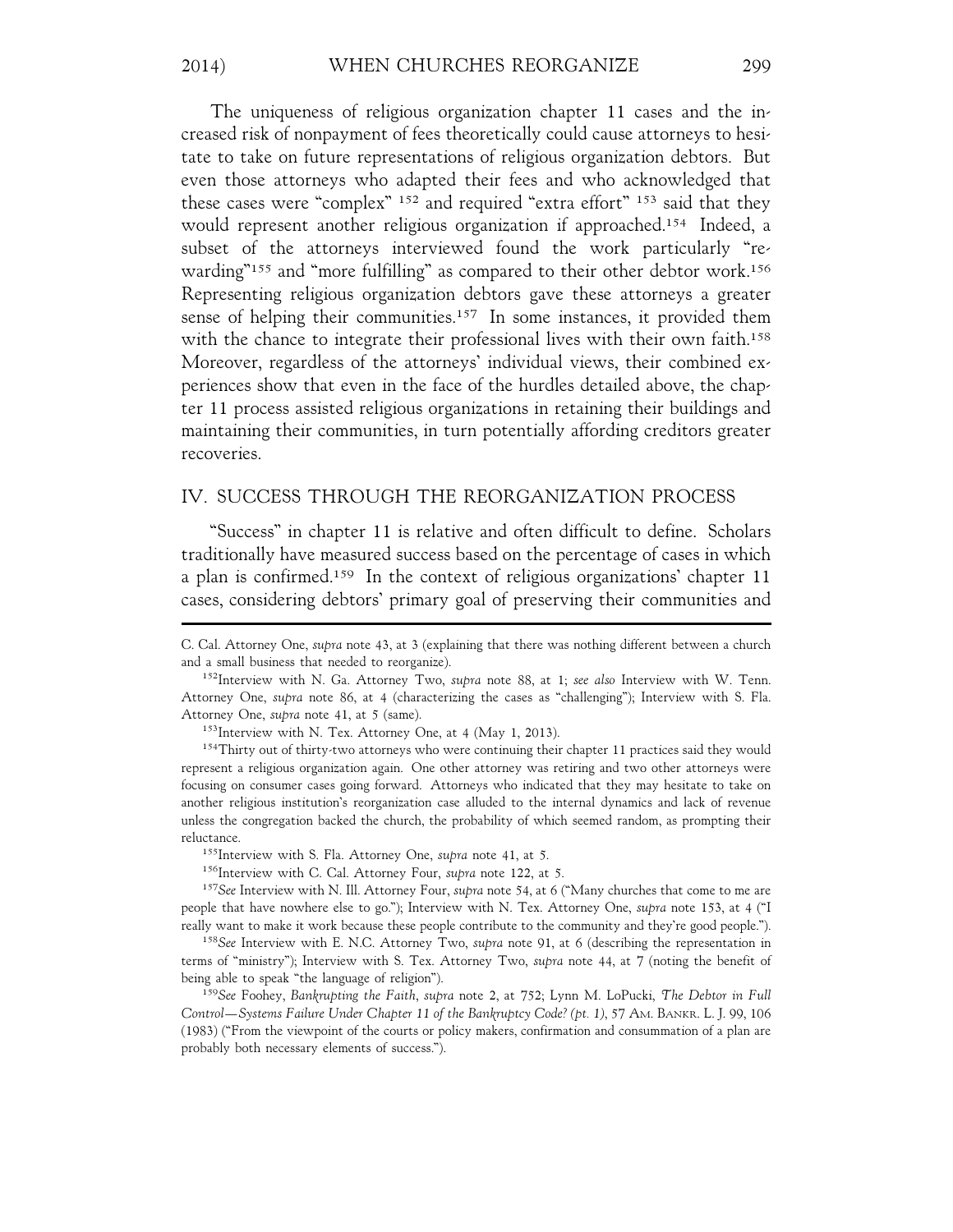The uniqueness of religious organization chapter 11 cases and the increased risk of nonpayment of fees theoretically could cause attorneys to hesitate to take on future representations of religious organization debtors. But even those attorneys who adapted their fees and who acknowledged that these cases were "complex" 152 and required "extra effort" 153 said that they would represent another religious organization if approached.<sup>154</sup> Indeed, a subset of the attorneys interviewed found the work particularly "rewarding"<sup>155</sup> and "more fulfilling" as compared to their other debtor work.<sup>156</sup> Representing religious organization debtors gave these attorneys a greater sense of helping their communities.<sup>157</sup> In some instances, it provided them with the chance to integrate their professional lives with their own faith.<sup>158</sup> Moreover, regardless of the attorneys' individual views, their combined experiences show that even in the face of the hurdles detailed above, the chapter 11 process assisted religious organizations in retaining their buildings and maintaining their communities, in turn potentially affording creditors greater recoveries.

## IV. SUCCESS THROUGH THE REORGANIZATION PROCESS

"Success" in chapter 11 is relative and often difficult to define. Scholars traditionally have measured success based on the percentage of cases in which a plan is confirmed.159 In the context of religious organizations' chapter 11 cases, considering debtors' primary goal of preserving their communities and

C. Cal. Attorney One, *supra* note 43, at 3 (explaining that there was nothing different between a church and a small business that needed to reorganize).

<sup>152</sup>Interview with N. Ga. Attorney Two, *supra* note 88, at 1; *see also* Interview with W. Tenn. Attorney One, *supra* note 86, at 4 (characterizing the cases as "challenging"); Interview with S. Fla. Attorney One, *supra* note 41, at 5 (same).

<sup>&</sup>lt;sup>153</sup>Interview with N. Tex. Attorney One, at 4 (May 1, 2013).

<sup>&</sup>lt;sup>154</sup>Thirty out of thirty-two attorneys who were continuing their chapter 11 practices said they would represent a religious organization again. One other attorney was retiring and two other attorneys were focusing on consumer cases going forward. Attorneys who indicated that they may hesitate to take on another religious institution's reorganization case alluded to the internal dynamics and lack of revenue unless the congregation backed the church, the probability of which seemed random, as prompting their reluctance.

<sup>155</sup>Interview with S. Fla. Attorney One, *supra* note 41, at 5.

<sup>156</sup>Interview with C. Cal. Attorney Four, *supra* note 122, at 5.

<sup>157</sup>*See* Interview with N. Ill. Attorney Four, *supra* note 54, at 6 ("Many churches that come to me are people that have nowhere else to go."); Interview with N. Tex. Attorney One, *supra* note 153, at 4 ("I really want to make it work because these people contribute to the community and they're good people.").

<sup>158</sup>*See* Interview with E. N.C. Attorney Two, *supra* note 91, at 6 (describing the representation in terms of "ministry"); Interview with S. Tex. Attorney Two, *supra* note 44, at 7 (noting the benefit of being able to speak "the language of religion").

<sup>159</sup>*See* Foohey, *Bankrupting the Faith*, *supra* note 2, at 752; Lynn M. LoPucki, *The Debtor in Full Control—Systems Failure Under Chapter 11 of the Bankruptcy Code? (pt. 1)*, 57 AM. BANKR. L. J. 99, 106 (1983) ("From the viewpoint of the courts or policy makers, confirmation and consummation of a plan are probably both necessary elements of success.").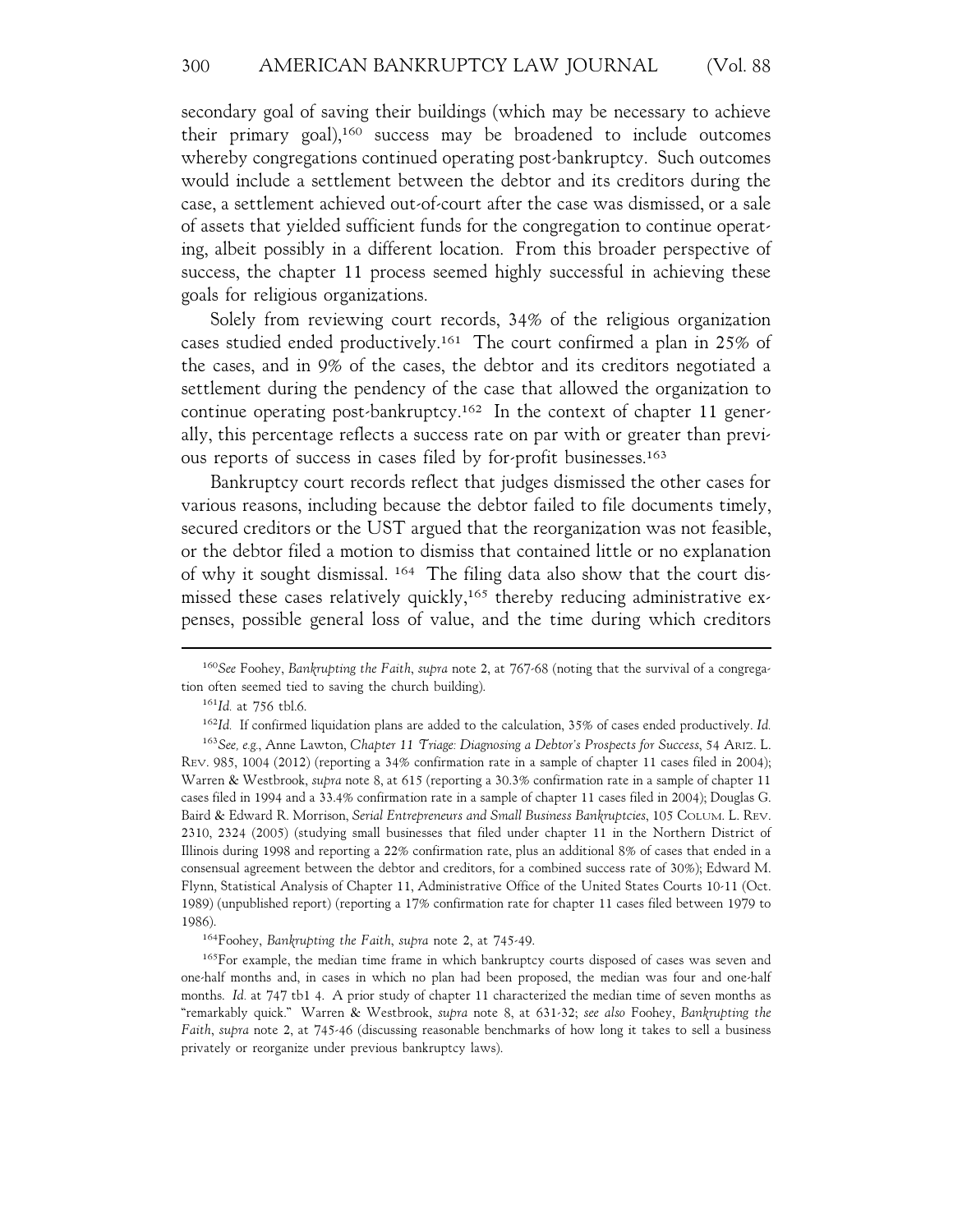secondary goal of saving their buildings (which may be necessary to achieve their primary goal),160 success may be broadened to include outcomes whereby congregations continued operating post-bankruptcy. Such outcomes would include a settlement between the debtor and its creditors during the case, a settlement achieved out-of-court after the case was dismissed, or a sale of assets that yielded sufficient funds for the congregation to continue operating, albeit possibly in a different location. From this broader perspective of success, the chapter 11 process seemed highly successful in achieving these goals for religious organizations.

Solely from reviewing court records, 34% of the religious organization cases studied ended productively.161 The court confirmed a plan in 25% of the cases, and in 9% of the cases, the debtor and its creditors negotiated a settlement during the pendency of the case that allowed the organization to continue operating post-bankruptcy.162 In the context of chapter 11 generally, this percentage reflects a success rate on par with or greater than previous reports of success in cases filed by for-profit businesses.163

Bankruptcy court records reflect that judges dismissed the other cases for various reasons, including because the debtor failed to file documents timely, secured creditors or the UST argued that the reorganization was not feasible, or the debtor filed a motion to dismiss that contained little or no explanation of why it sought dismissal. 164 The filing data also show that the court dismissed these cases relatively quickly,<sup>165</sup> thereby reducing administrative expenses, possible general loss of value, and the time during which creditors

<sup>160</sup>*See* Foohey, *Bankrupting the Faith*, *supra* note 2, at 767-68 (noting that the survival of a congregation often seemed tied to saving the church building).

<sup>161</sup>*Id.* at 756 tbl.6.

<sup>162</sup>*Id.* If confirmed liquidation plans are added to the calculation, 35% of cases ended productively. *Id.* <sup>163</sup>*See, e.g.*, Anne Lawton, *Chapter 11 Triage: Diagnosing a Debtor's Prospects for Success*, 54 ARIZ. L.

REV. 985, 1004 (2012) (reporting a 34% confirmation rate in a sample of chapter 11 cases filed in 2004); Warren & Westbrook, *supra* note 8, at 615 (reporting a 30.3% confirmation rate in a sample of chapter 11 cases filed in 1994 and a 33.4% confirmation rate in a sample of chapter 11 cases filed in 2004); Douglas G. Baird & Edward R. Morrison, *Serial Entrepreneurs and Small Business Bankruptcies*, 105 COLUM. L. REV. 2310, 2324 (2005) (studying small businesses that filed under chapter 11 in the Northern District of Illinois during 1998 and reporting a 22% confirmation rate, plus an additional 8% of cases that ended in a consensual agreement between the debtor and creditors, for a combined success rate of 30%); Edward M. Flynn, Statistical Analysis of Chapter 11, Administrative Office of the United States Courts 10-11 (Oct. 1989) (unpublished report) (reporting a 17% confirmation rate for chapter 11 cases filed between 1979 to 1986).

<sup>164</sup>Foohey, *Bankrupting the Faith*, *supra* note 2, at 745-49.

<sup>&</sup>lt;sup>165</sup>For example, the median time frame in which bankruptcy courts disposed of cases was seven and one-half months and, in cases in which no plan had been proposed, the median was four and one-half months. *Id.* at 747 tb1 4. A prior study of chapter 11 characterized the median time of seven months as "remarkably quick." Warren & Westbrook, *supra* note 8, at 631-32; *see also* Foohey, *Bankrupting the Faith*, *supra* note 2, at 745-46 (discussing reasonable benchmarks of how long it takes to sell a business privately or reorganize under previous bankruptcy laws).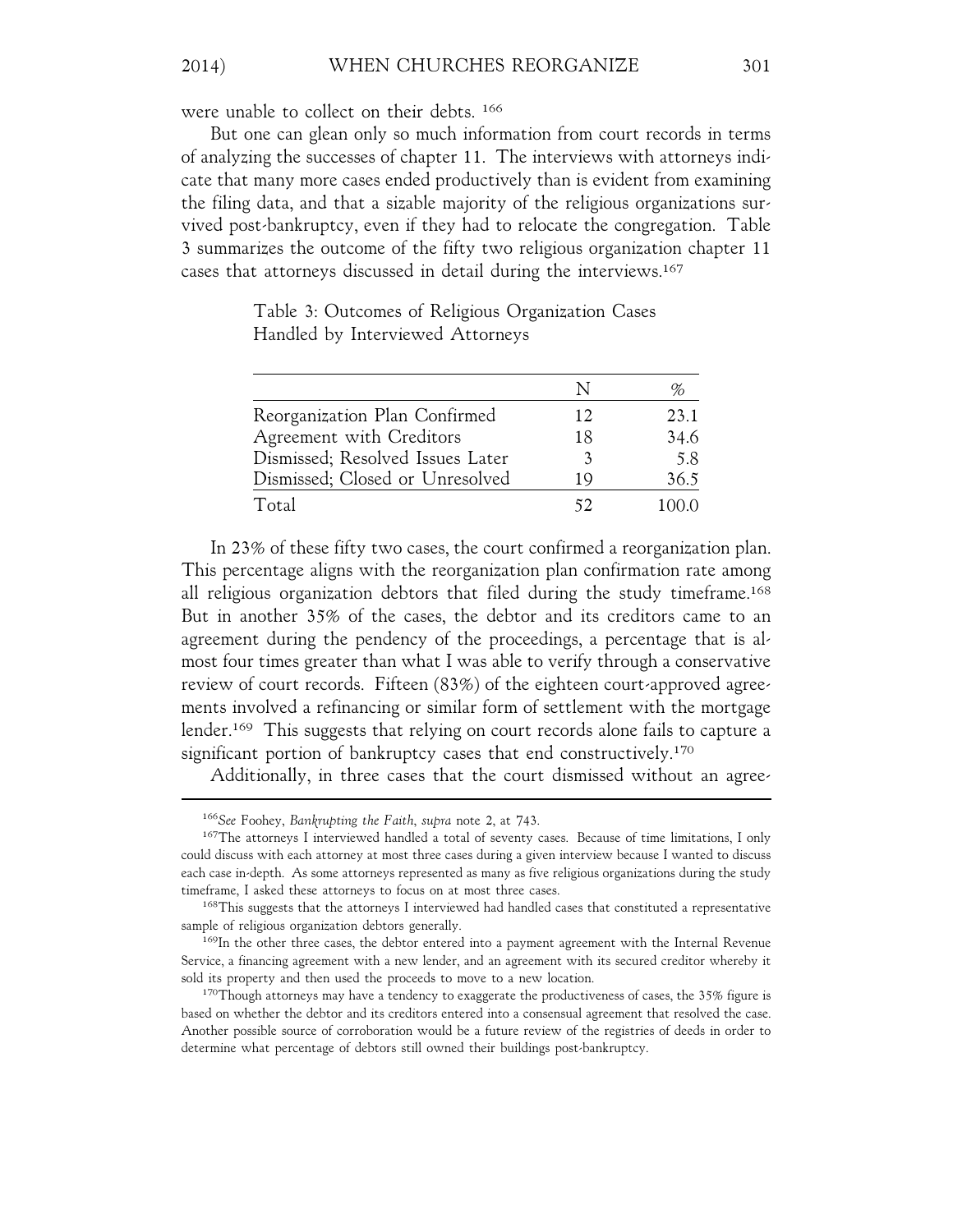## 2014) WHEN CHURCHES REORGANIZE 301

were unable to collect on their debts. 166

But one can glean only so much information from court records in terms of analyzing the successes of chapter 11. The interviews with attorneys indicate that many more cases ended productively than is evident from examining the filing data, and that a sizable majority of the religious organizations survived post-bankruptcy, even if they had to relocate the congregation. Table 3 summarizes the outcome of the fifty two religious organization chapter 11 cases that attorneys discussed in detail during the interviews.167

|                                  |    | %    |
|----------------------------------|----|------|
| Reorganization Plan Confirmed    | 12 | 23.1 |
| Agreement with Creditors         | 18 | 34.6 |
| Dismissed; Resolved Issues Later | 3  | 5.8  |
| Dismissed; Closed or Unresolved  | 19 | 36.5 |
| Total                            |    | 1000 |

Table 3: Outcomes of Religious Organization Cases Handled by Interviewed Attorneys

In 23% of these fifty two cases, the court confirmed a reorganization plan. This percentage aligns with the reorganization plan confirmation rate among all religious organization debtors that filed during the study timeframe.168 But in another 35% of the cases, the debtor and its creditors came to an agreement during the pendency of the proceedings, a percentage that is almost four times greater than what I was able to verify through a conservative review of court records. Fifteen (83%) of the eighteen court-approved agreements involved a refinancing or similar form of settlement with the mortgage lender.<sup>169</sup> This suggests that relying on court records alone fails to capture a significant portion of bankruptcy cases that end constructively.<sup>170</sup>

Additionally, in three cases that the court dismissed without an agree-

<sup>166</sup>*See* Foohey, *Bankrupting the Faith*, *supra* note 2, at 743.

<sup>&</sup>lt;sup>167</sup>The attorneys I interviewed handled a total of seventy cases. Because of time limitations, I only could discuss with each attorney at most three cases during a given interview because I wanted to discuss each case in-depth. As some attorneys represented as many as five religious organizations during the study timeframe, I asked these attorneys to focus on at most three cases.

<sup>168</sup>This suggests that the attorneys I interviewed had handled cases that constituted a representative sample of religious organization debtors generally.

<sup>&</sup>lt;sup>169</sup>In the other three cases, the debtor entered into a payment agreement with the Internal Revenue Service, a financing agreement with a new lender, and an agreement with its secured creditor whereby it sold its property and then used the proceeds to move to a new location.

 $170$ Though attorneys may have a tendency to exaggerate the productiveness of cases, the 35% figure is based on whether the debtor and its creditors entered into a consensual agreement that resolved the case. Another possible source of corroboration would be a future review of the registries of deeds in order to determine what percentage of debtors still owned their buildings post-bankruptcy.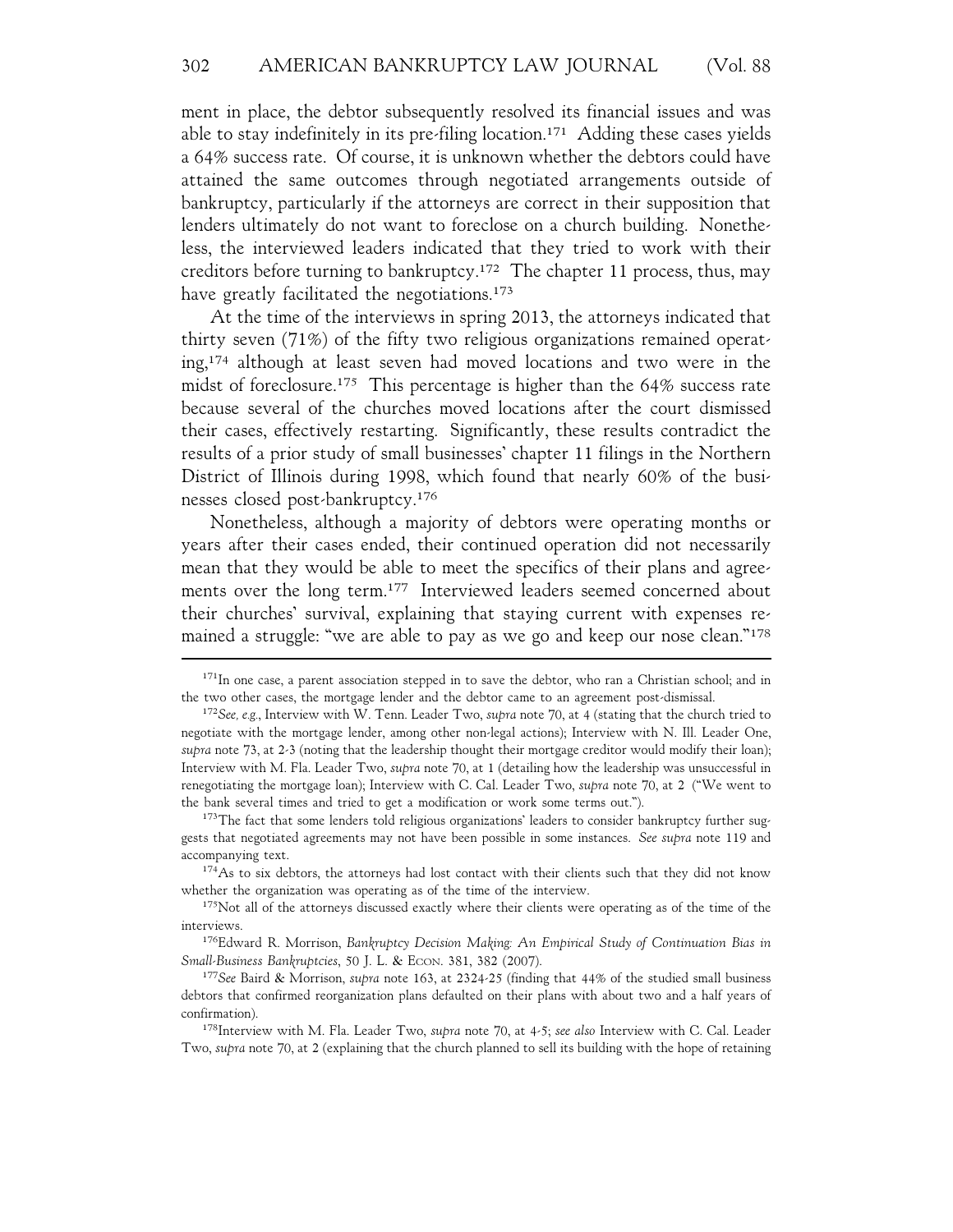ment in place, the debtor subsequently resolved its financial issues and was able to stay indefinitely in its pre-filing location.<sup>171</sup> Adding these cases yields a 64% success rate. Of course, it is unknown whether the debtors could have attained the same outcomes through negotiated arrangements outside of bankruptcy, particularly if the attorneys are correct in their supposition that lenders ultimately do not want to foreclose on a church building. Nonetheless, the interviewed leaders indicated that they tried to work with their creditors before turning to bankruptcy.172 The chapter 11 process, thus, may have greatly facilitated the negotiations.<sup>173</sup>

At the time of the interviews in spring 2013, the attorneys indicated that thirty seven (71%) of the fifty two religious organizations remained operating,174 although at least seven had moved locations and two were in the midst of foreclosure.175 This percentage is higher than the 64% success rate because several of the churches moved locations after the court dismissed their cases, effectively restarting. Significantly, these results contradict the results of a prior study of small businesses' chapter 11 filings in the Northern District of Illinois during 1998, which found that nearly 60% of the businesses closed post-bankruptcy.176

Nonetheless, although a majority of debtors were operating months or years after their cases ended, their continued operation did not necessarily mean that they would be able to meet the specifics of their plans and agreements over the long term.177 Interviewed leaders seemed concerned about their churches' survival, explaining that staying current with expenses remained a struggle: "we are able to pay as we go and keep our nose clean."<sup>178</sup>

<sup>&</sup>lt;sup>171</sup>In one case, a parent association stepped in to save the debtor, who ran a Christian school; and in the two other cases, the mortgage lender and the debtor came to an agreement post-dismissal.

<sup>172</sup>*See, e.g.*, Interview with W. Tenn. Leader Two, *supra* note 70, at 4 (stating that the church tried to negotiate with the mortgage lender, among other non-legal actions); Interview with N. Ill. Leader One, *supra* note 73, at 2-3 (noting that the leadership thought their mortgage creditor would modify their loan); Interview with M. Fla. Leader Two, *supra* note 70, at 1 (detailing how the leadership was unsuccessful in renegotiating the mortgage loan); Interview with C. Cal. Leader Two, *supra* note 70, at 2 ("We went to the bank several times and tried to get a modification or work some terms out.").

<sup>&</sup>lt;sup>173</sup>The fact that some lenders told religious organizations' leaders to consider bankruptcy further suggests that negotiated agreements may not have been possible in some instances. *See supra* note 119 and accompanying text.

<sup>&</sup>lt;sup>174</sup>As to six debtors, the attorneys had lost contact with their clients such that they did not know whether the organization was operating as of the time of the interview.

<sup>&</sup>lt;sup>175</sup>Not all of the attorneys discussed exactly where their clients were operating as of the time of the interviews.

<sup>176</sup>Edward R. Morrison, *Bankruptcy Decision Making: An Empirical Study of Continuation Bias in Small-Business Bankruptcies*, 50 J. L. & ECON. 381, 382 (2007).

<sup>177</sup>*See* Baird & Morrison, *supra* note 163, at 2324-25 (finding that 44% of the studied small business debtors that confirmed reorganization plans defaulted on their plans with about two and a half years of confirmation).

<sup>178</sup>Interview with M. Fla. Leader Two, *supra* note 70, at 4-5; *see also* Interview with C. Cal. Leader Two, *supra* note 70, at 2 (explaining that the church planned to sell its building with the hope of retaining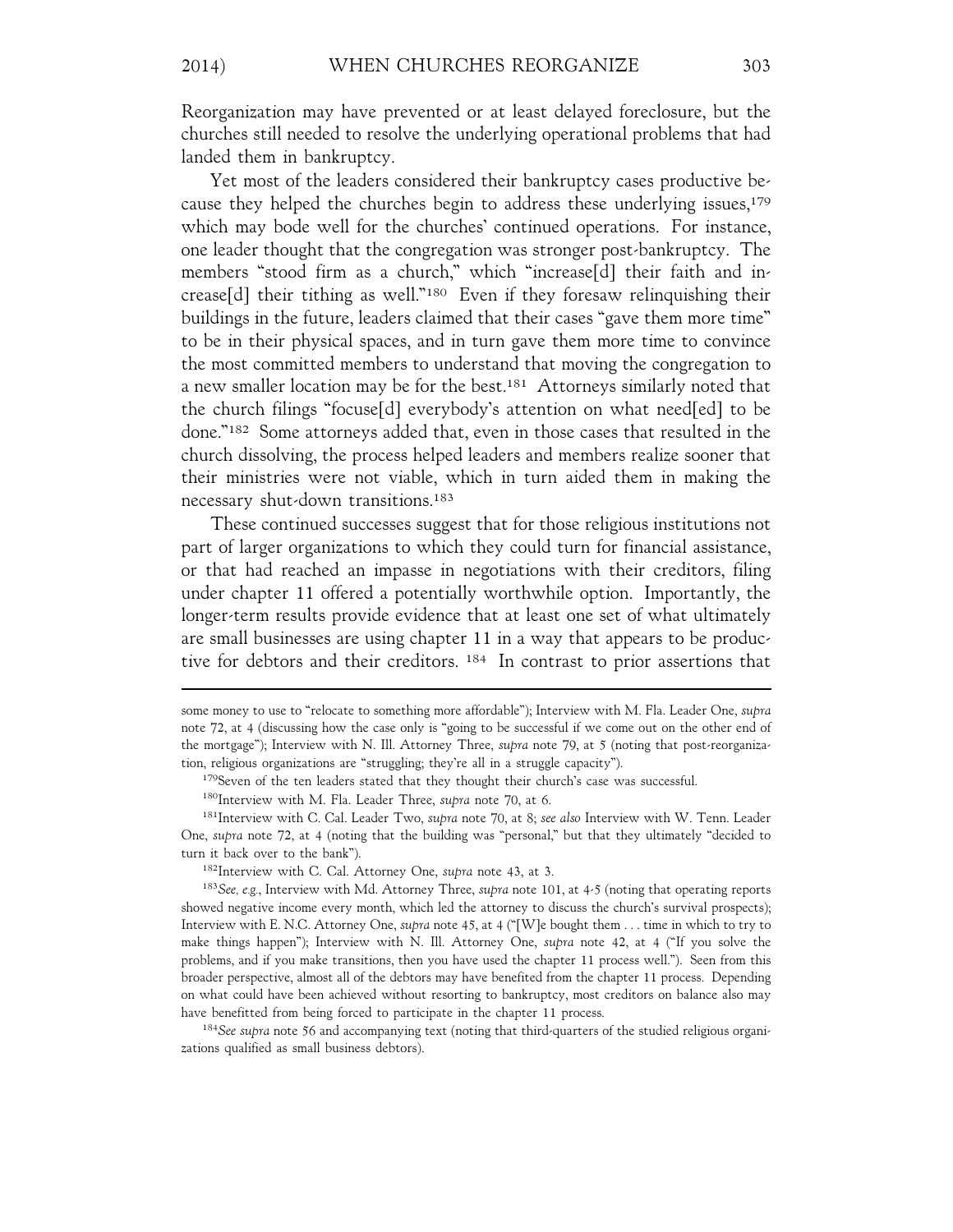Reorganization may have prevented or at least delayed foreclosure, but the churches still needed to resolve the underlying operational problems that had landed them in bankruptcy.

Yet most of the leaders considered their bankruptcy cases productive because they helped the churches begin to address these underlying issues,<sup>179</sup> which may bode well for the churches' continued operations. For instance, one leader thought that the congregation was stronger post-bankruptcy. The members "stood firm as a church," which "increase[d] their faith and increase[d] their tithing as well."180 Even if they foresaw relinquishing their buildings in the future, leaders claimed that their cases "gave them more time" to be in their physical spaces, and in turn gave them more time to convince the most committed members to understand that moving the congregation to a new smaller location may be for the best.181 Attorneys similarly noted that the church filings "focuse[d] everybody's attention on what need[ed] to be done."182 Some attorneys added that, even in those cases that resulted in the church dissolving, the process helped leaders and members realize sooner that their ministries were not viable, which in turn aided them in making the necessary shut-down transitions.183

These continued successes suggest that for those religious institutions not part of larger organizations to which they could turn for financial assistance, or that had reached an impasse in negotiations with their creditors, filing under chapter 11 offered a potentially worthwhile option. Importantly, the longer-term results provide evidence that at least one set of what ultimately are small businesses are using chapter 11 in a way that appears to be productive for debtors and their creditors. 184 In contrast to prior assertions that

<sup>184</sup>*See supra* note 56 and accompanying text (noting that third-quarters of the studied religious organizations qualified as small business debtors).

some money to use to "relocate to something more affordable"); Interview with M. Fla. Leader One, *supra* note 72, at 4 (discussing how the case only is "going to be successful if we come out on the other end of the mortgage"); Interview with N. Ill. Attorney Three, *supra* note 79, at 5 (noting that post-reorganization, religious organizations are "struggling; they're all in a struggle capacity").

<sup>&</sup>lt;sup>179</sup>Seven of the ten leaders stated that they thought their church's case was successful.

<sup>180</sup>Interview with M. Fla. Leader Three, *supra* note 70, at 6.

<sup>181</sup>Interview with C. Cal. Leader Two, *supra* note 70, at 8; *see also* Interview with W. Tenn. Leader One, *supra* note 72, at 4 (noting that the building was "personal," but that they ultimately "decided to turn it back over to the bank").

<sup>182</sup>Interview with C. Cal. Attorney One, *supra* note 43, at 3.

<sup>183</sup>*See, e.g.*, Interview with Md. Attorney Three, *supra* note 101, at 4-5 (noting that operating reports showed negative income every month, which led the attorney to discuss the church's survival prospects); Interview with E. N.C. Attorney One, *supra* note 45, at 4 ("[W]e bought them . . . time in which to try to make things happen"); Interview with N. Ill. Attorney One, *supra* note 42, at 4 ("If you solve the problems, and if you make transitions, then you have used the chapter 11 process well."). Seen from this broader perspective, almost all of the debtors may have benefited from the chapter 11 process. Depending on what could have been achieved without resorting to bankruptcy, most creditors on balance also may have benefitted from being forced to participate in the chapter 11 process.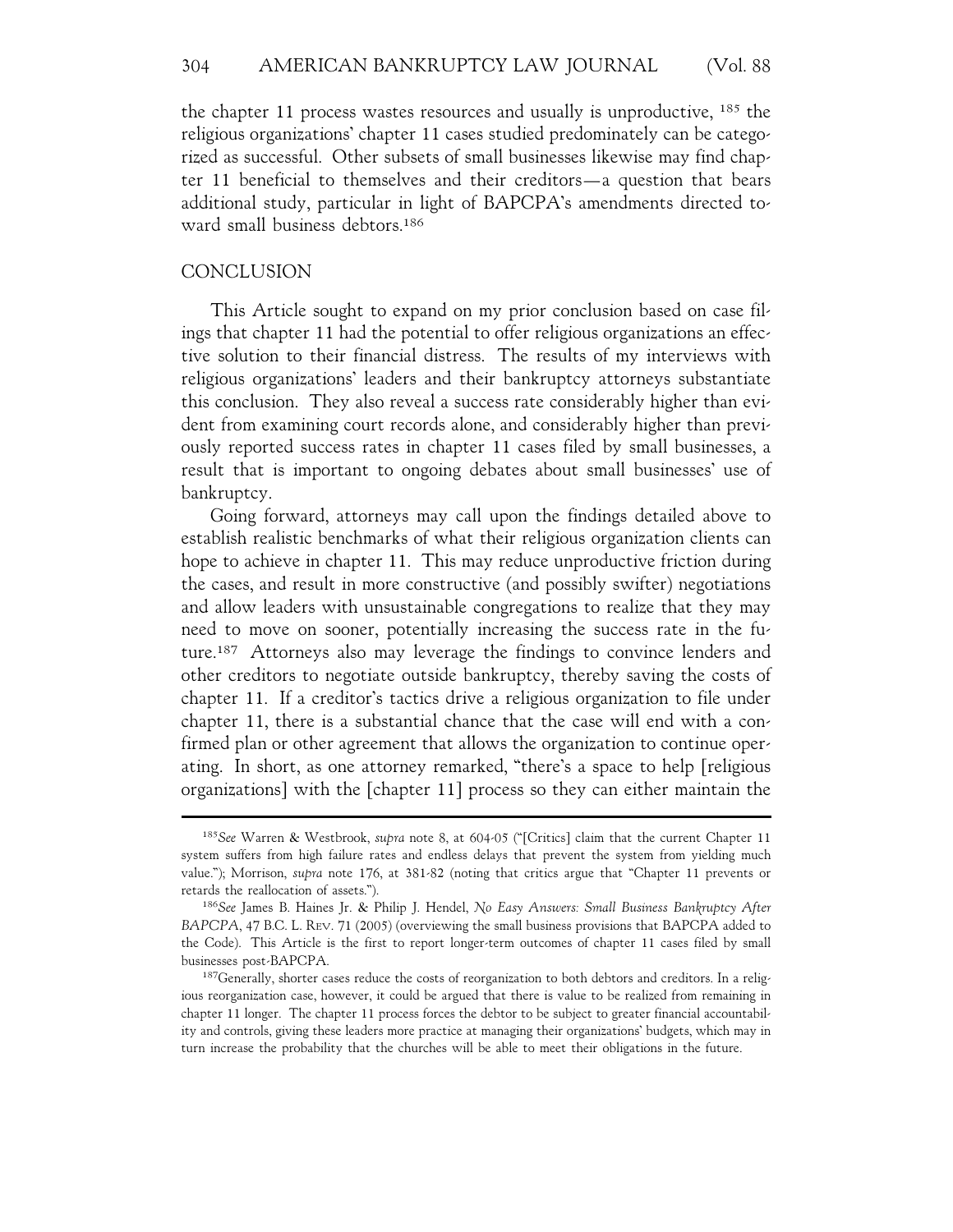the chapter 11 process wastes resources and usually is unproductive, 185 the religious organizations' chapter 11 cases studied predominately can be categorized as successful. Other subsets of small businesses likewise may find chapter 11 beneficial to themselves and their creditors—a question that bears additional study, particular in light of BAPCPA's amendments directed toward small business debtors.186

#### CONCLUSION

This Article sought to expand on my prior conclusion based on case filings that chapter 11 had the potential to offer religious organizations an effective solution to their financial distress. The results of my interviews with religious organizations' leaders and their bankruptcy attorneys substantiate this conclusion. They also reveal a success rate considerably higher than evident from examining court records alone, and considerably higher than previously reported success rates in chapter 11 cases filed by small businesses, a result that is important to ongoing debates about small businesses' use of bankruptcy.

Going forward, attorneys may call upon the findings detailed above to establish realistic benchmarks of what their religious organization clients can hope to achieve in chapter 11. This may reduce unproductive friction during the cases, and result in more constructive (and possibly swifter) negotiations and allow leaders with unsustainable congregations to realize that they may need to move on sooner, potentially increasing the success rate in the future.187 Attorneys also may leverage the findings to convince lenders and other creditors to negotiate outside bankruptcy, thereby saving the costs of chapter 11. If a creditor's tactics drive a religious organization to file under chapter 11, there is a substantial chance that the case will end with a confirmed plan or other agreement that allows the organization to continue operating. In short, as one attorney remarked, "there's a space to help [religious organizations] with the [chapter 11] process so they can either maintain the

<sup>185</sup>*See* Warren & Westbrook, *supra* note 8, at 604-05 ("[Critics] claim that the current Chapter 11 system suffers from high failure rates and endless delays that prevent the system from yielding much value."); Morrison, *supra* note 176, at 381-82 (noting that critics argue that "Chapter 11 prevents or retards the reallocation of assets.").

<sup>186</sup>*See* James B. Haines Jr. & Philip J. Hendel, *No Easy Answers: Small Business Bankruptcy After BAPCPA*, 47 B.C. L. REV. 71 (2005) (overviewing the small business provisions that BAPCPA added to the Code). This Article is the first to report longer-term outcomes of chapter 11 cases filed by small businesses post-BAPCPA.

 $187$ Generally, shorter cases reduce the costs of reorganization to both debtors and creditors. In a religious reorganization case, however, it could be argued that there is value to be realized from remaining in chapter 11 longer. The chapter 11 process forces the debtor to be subject to greater financial accountability and controls, giving these leaders more practice at managing their organizations' budgets, which may in turn increase the probability that the churches will be able to meet their obligations in the future.